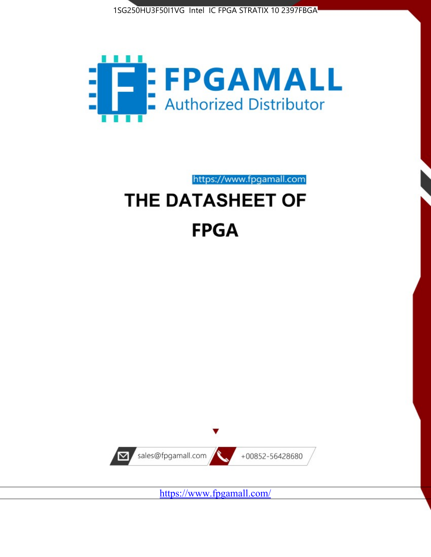



https://www.fpgamall.com

# THE DATASHEET OF **FPGA**



<https://www.fpgamall.com/>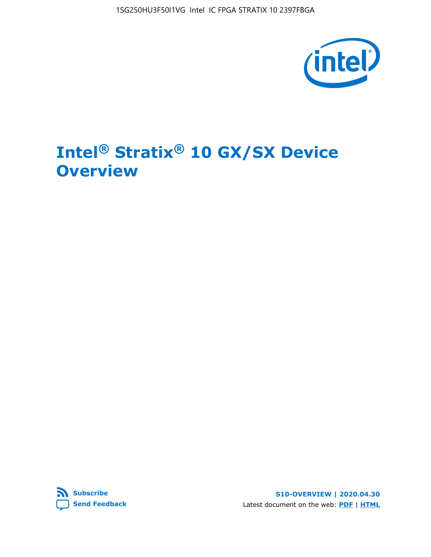1SG250HU3F50I1VG Intel IC FPGA STRATIX 10 2397FBGA



# **Intel® Stratix® 10 GX/SX Device Overview**



**S10-OVERVIEW | 2020.04.30** Latest document on the web: **[PDF](https://www.intel.com/content/dam/www/programmable/us/en/pdfs/literature/hb/stratix-10/s10-overview.pdf)** | **[HTML](https://www.intel.com/content/www/us/en/programmable/documentation/joc1442261161666.html)**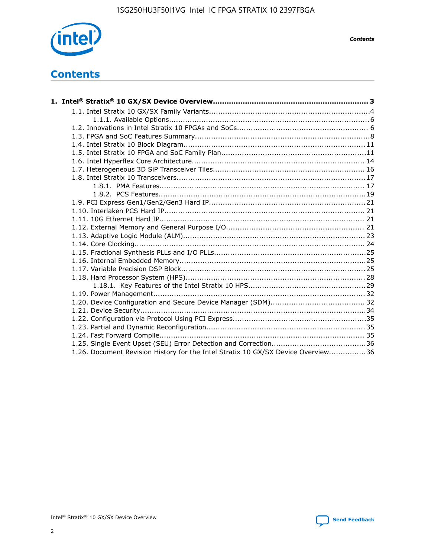

*Contents*

# **Contents**

| 1.26. Document Revision History for the Intel Stratix 10 GX/SX Device Overview36 |  |
|----------------------------------------------------------------------------------|--|

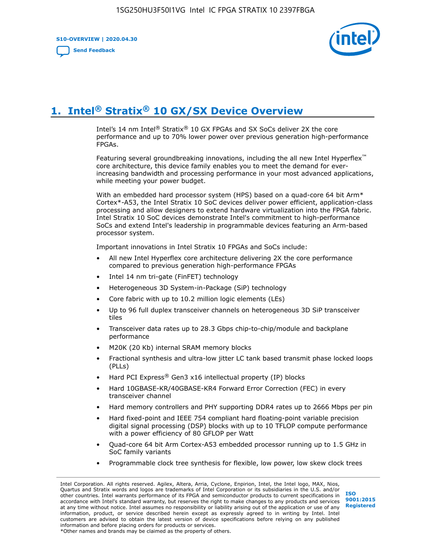**S10-OVERVIEW | 2020.04.30**

**[Send Feedback](mailto:FPGAtechdocfeedback@intel.com?subject=Feedback%20on%20Intel%20Stratix%2010%20GX/SX%20Device%20Overview%20(S10-OVERVIEW%202020.04.30)&body=We%20appreciate%20your%20feedback.%20In%20your%20comments,%20also%20specify%20the%20page%20number%20or%20paragraph.%20Thank%20you.)**



# **1. Intel® Stratix® 10 GX/SX Device Overview**

Intel's 14 nm Intel® Stratix® 10 GX FPGAs and SX SoCs deliver 2X the core performance and up to 70% lower power over previous generation high-performance FPGAs.

Featuring several groundbreaking innovations, including the all new Intel Hyperflex™ core architecture, this device family enables you to meet the demand for everincreasing bandwidth and processing performance in your most advanced applications, while meeting your power budget.

With an embedded hard processor system (HPS) based on a quad-core 64 bit Arm\* Cortex\*-A53, the Intel Stratix 10 SoC devices deliver power efficient, application-class processing and allow designers to extend hardware virtualization into the FPGA fabric. Intel Stratix 10 SoC devices demonstrate Intel's commitment to high-performance SoCs and extend Intel's leadership in programmable devices featuring an Arm-based processor system.

Important innovations in Intel Stratix 10 FPGAs and SoCs include:

- All new Intel Hyperflex core architecture delivering 2X the core performance compared to previous generation high-performance FPGAs
- Intel 14 nm tri-gate (FinFET) technology
- Heterogeneous 3D System-in-Package (SiP) technology
- Core fabric with up to 10.2 million logic elements (LEs)
- Up to 96 full duplex transceiver channels on heterogeneous 3D SiP transceiver tiles
- Transceiver data rates up to 28.3 Gbps chip-to-chip/module and backplane performance
- M20K (20 Kb) internal SRAM memory blocks
- Fractional synthesis and ultra-low jitter LC tank based transmit phase locked loops (PLLs)
- Hard PCI Express<sup>®</sup> Gen3 x16 intellectual property (IP) blocks
- Hard 10GBASE-KR/40GBASE-KR4 Forward Error Correction (FEC) in every transceiver channel
- Hard memory controllers and PHY supporting DDR4 rates up to 2666 Mbps per pin
- Hard fixed-point and IEEE 754 compliant hard floating-point variable precision digital signal processing (DSP) blocks with up to 10 TFLOP compute performance with a power efficiency of 80 GFLOP per Watt
- Quad-core 64 bit Arm Cortex-A53 embedded processor running up to 1.5 GHz in SoC family variants
- Programmable clock tree synthesis for flexible, low power, low skew clock trees

Intel Corporation. All rights reserved. Agilex, Altera, Arria, Cyclone, Enpirion, Intel, the Intel logo, MAX, Nios, Quartus and Stratix words and logos are trademarks of Intel Corporation or its subsidiaries in the U.S. and/or other countries. Intel warrants performance of its FPGA and semiconductor products to current specifications in accordance with Intel's standard warranty, but reserves the right to make changes to any products and services at any time without notice. Intel assumes no responsibility or liability arising out of the application or use of any information, product, or service described herein except as expressly agreed to in writing by Intel. Intel customers are advised to obtain the latest version of device specifications before relying on any published information and before placing orders for products or services. \*Other names and brands may be claimed as the property of others.

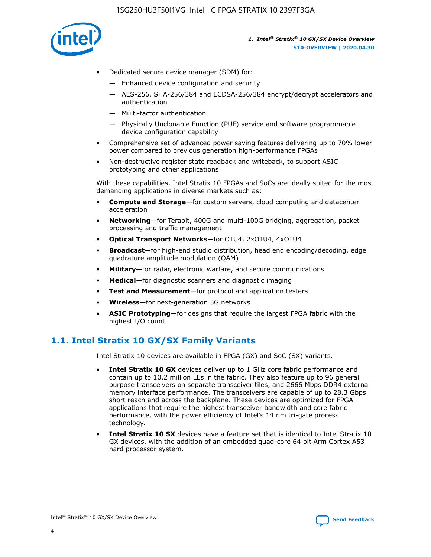

- Dedicated secure device manager (SDM) for:
	- Enhanced device configuration and security
	- AES-256, SHA-256/384 and ECDSA-256/384 encrypt/decrypt accelerators and authentication
	- Multi-factor authentication
	- Physically Unclonable Function (PUF) service and software programmable device configuration capability
- Comprehensive set of advanced power saving features delivering up to 70% lower power compared to previous generation high-performance FPGAs
- Non-destructive register state readback and writeback, to support ASIC prototyping and other applications

With these capabilities, Intel Stratix 10 FPGAs and SoCs are ideally suited for the most demanding applications in diverse markets such as:

- **Compute and Storage**—for custom servers, cloud computing and datacenter acceleration
- **Networking**—for Terabit, 400G and multi-100G bridging, aggregation, packet processing and traffic management
- **Optical Transport Networks**—for OTU4, 2xOTU4, 4xOTU4
- **Broadcast**—for high-end studio distribution, head end encoding/decoding, edge quadrature amplitude modulation (QAM)
- **Military**—for radar, electronic warfare, and secure communications
- **Medical**—for diagnostic scanners and diagnostic imaging
- **Test and Measurement**—for protocol and application testers
- **Wireless**—for next-generation 5G networks
- **ASIC Prototyping**—for designs that require the largest FPGA fabric with the highest I/O count

## **1.1. Intel Stratix 10 GX/SX Family Variants**

Intel Stratix 10 devices are available in FPGA (GX) and SoC (SX) variants.

- **Intel Stratix 10 GX** devices deliver up to 1 GHz core fabric performance and contain up to 10.2 million LEs in the fabric. They also feature up to 96 general purpose transceivers on separate transceiver tiles, and 2666 Mbps DDR4 external memory interface performance. The transceivers are capable of up to 28.3 Gbps short reach and across the backplane. These devices are optimized for FPGA applications that require the highest transceiver bandwidth and core fabric performance, with the power efficiency of Intel's 14 nm tri-gate process technology.
- **Intel Stratix 10 SX** devices have a feature set that is identical to Intel Stratix 10 GX devices, with the addition of an embedded quad-core 64 bit Arm Cortex A53 hard processor system.

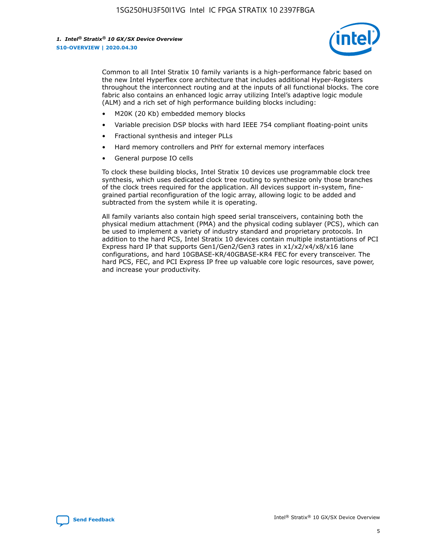

Common to all Intel Stratix 10 family variants is a high-performance fabric based on the new Intel Hyperflex core architecture that includes additional Hyper-Registers throughout the interconnect routing and at the inputs of all functional blocks. The core fabric also contains an enhanced logic array utilizing Intel's adaptive logic module (ALM) and a rich set of high performance building blocks including:

- M20K (20 Kb) embedded memory blocks
- Variable precision DSP blocks with hard IEEE 754 compliant floating-point units
- Fractional synthesis and integer PLLs
- Hard memory controllers and PHY for external memory interfaces
- General purpose IO cells

To clock these building blocks, Intel Stratix 10 devices use programmable clock tree synthesis, which uses dedicated clock tree routing to synthesize only those branches of the clock trees required for the application. All devices support in-system, finegrained partial reconfiguration of the logic array, allowing logic to be added and subtracted from the system while it is operating.

All family variants also contain high speed serial transceivers, containing both the physical medium attachment (PMA) and the physical coding sublayer (PCS), which can be used to implement a variety of industry standard and proprietary protocols. In addition to the hard PCS, Intel Stratix 10 devices contain multiple instantiations of PCI Express hard IP that supports Gen1/Gen2/Gen3 rates in x1/x2/x4/x8/x16 lane configurations, and hard 10GBASE-KR/40GBASE-KR4 FEC for every transceiver. The hard PCS, FEC, and PCI Express IP free up valuable core logic resources, save power, and increase your productivity.

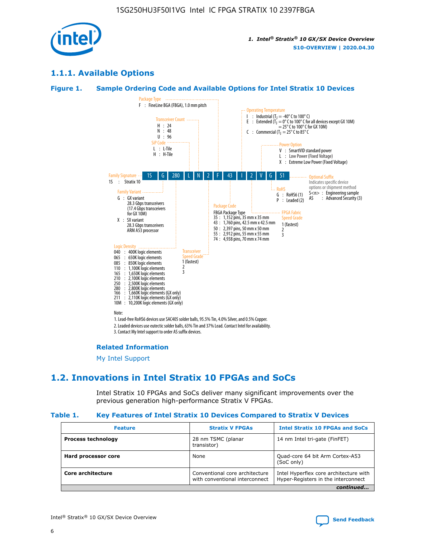

## **1.1.1. Available Options**

#### **Figure 1. Sample Ordering Code and Available Options for Intel Stratix 10 Devices**



## **Related Information**

[My Intel Support](https://www.intel.com/content/www/us/en/programmable/my-intel/mal-home.html)

## **1.2. Innovations in Intel Stratix 10 FPGAs and SoCs**

Intel Stratix 10 FPGAs and SoCs deliver many significant improvements over the previous generation high-performance Stratix V FPGAs.

#### **Table 1. Key Features of Intel Stratix 10 Devices Compared to Stratix V Devices**

| <b>Feature</b>            | <b>Stratix V FPGAs</b>                                           | <b>Intel Stratix 10 FPGAs and SoCs</b>                                        |  |  |  |
|---------------------------|------------------------------------------------------------------|-------------------------------------------------------------------------------|--|--|--|
| <b>Process technology</b> | 28 nm TSMC (planar<br>transistor)                                | 14 nm Intel tri-gate (FinFET)                                                 |  |  |  |
| Hard processor core       | None                                                             | Quad-core 64 bit Arm Cortex-A53<br>(SoC only)                                 |  |  |  |
| Core architecture         | Conventional core architecture<br>with conventional interconnect | Intel Hyperflex core architecture with<br>Hyper-Registers in the interconnect |  |  |  |
| continued                 |                                                                  |                                                                               |  |  |  |

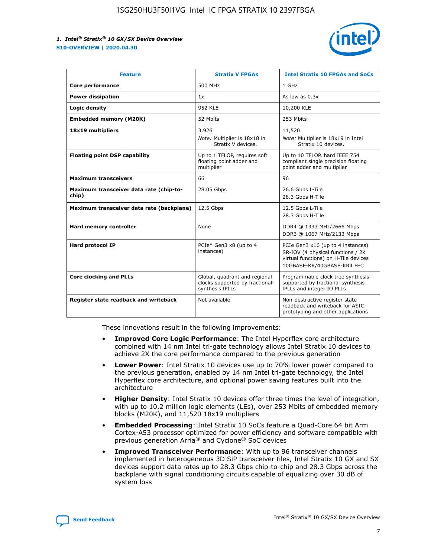

| <b>Feature</b>                                   | <b>Stratix V FPGAs</b>                                                              | <b>Intel Stratix 10 FPGAs and SoCs</b>                                                                                                       |
|--------------------------------------------------|-------------------------------------------------------------------------------------|----------------------------------------------------------------------------------------------------------------------------------------------|
| Core performance                                 | 500 MHz                                                                             | 1 GHz                                                                                                                                        |
| <b>Power dissipation</b>                         | 1x                                                                                  | As low as $0.3x$                                                                                                                             |
| Logic density                                    | <b>952 KLE</b>                                                                      | 10,200 KLE                                                                                                                                   |
| <b>Embedded memory (M20K)</b>                    | 52 Mbits                                                                            | 253 Mbits                                                                                                                                    |
| 18x19 multipliers                                | 3,926                                                                               | 11,520                                                                                                                                       |
|                                                  | Note: Multiplier is 18x18 in<br>Stratix V devices.                                  | Note: Multiplier is 18x19 in Intel<br>Stratix 10 devices.                                                                                    |
| <b>Floating point DSP capability</b>             | Up to 1 TFLOP, requires soft<br>floating point adder and<br>multiplier              | Up to 10 TFLOP, hard IEEE 754<br>compliant single precision floating<br>point adder and multiplier                                           |
| <b>Maximum transceivers</b>                      | 66                                                                                  | 96                                                                                                                                           |
| Maximum transceiver data rate (chip-to-<br>chip) | 28.05 Gbps                                                                          | 26.6 Gbps L-Tile<br>28.3 Gbps H-Tile                                                                                                         |
| Maximum transceiver data rate (backplane)        | 12.5 Gbps                                                                           | 12.5 Gbps L-Tile<br>28.3 Gbps H-Tile                                                                                                         |
| <b>Hard memory controller</b>                    | None                                                                                | DDR4 @ 1333 MHz/2666 Mbps<br>DDR3 @ 1067 MHz/2133 Mbps                                                                                       |
| <b>Hard protocol IP</b>                          | PCIe* Gen3 x8 (up to 4<br>instances)                                                | PCIe Gen3 x16 (up to 4 instances)<br>SR-IOV (4 physical functions / 2k<br>virtual functions) on H-Tile devices<br>10GBASE-KR/40GBASE-KR4 FEC |
| <b>Core clocking and PLLs</b>                    | Global, quadrant and regional<br>clocks supported by fractional-<br>synthesis fPLLs | Programmable clock tree synthesis<br>supported by fractional synthesis<br>fPLLs and integer IO PLLs                                          |
| Register state readback and writeback            | Not available                                                                       | Non-destructive register state<br>readback and writeback for ASIC<br>prototyping and other applications                                      |

These innovations result in the following improvements:

- **Improved Core Logic Performance**: The Intel Hyperflex core architecture combined with 14 nm Intel tri-gate technology allows Intel Stratix 10 devices to achieve 2X the core performance compared to the previous generation
- **Lower Power**: Intel Stratix 10 devices use up to 70% lower power compared to the previous generation, enabled by 14 nm Intel tri-gate technology, the Intel Hyperflex core architecture, and optional power saving features built into the architecture
- **Higher Density**: Intel Stratix 10 devices offer three times the level of integration, with up to 10.2 million logic elements (LEs), over 253 Mbits of embedded memory blocks (M20K), and 11,520 18x19 multipliers
- **Embedded Processing**: Intel Stratix 10 SoCs feature a Quad-Core 64 bit Arm Cortex-A53 processor optimized for power efficiency and software compatible with previous generation Arria® and Cyclone® SoC devices
- **Improved Transceiver Performance**: With up to 96 transceiver channels implemented in heterogeneous 3D SiP transceiver tiles, Intel Stratix 10 GX and SX devices support data rates up to 28.3 Gbps chip-to-chip and 28.3 Gbps across the backplane with signal conditioning circuits capable of equalizing over 30 dB of system loss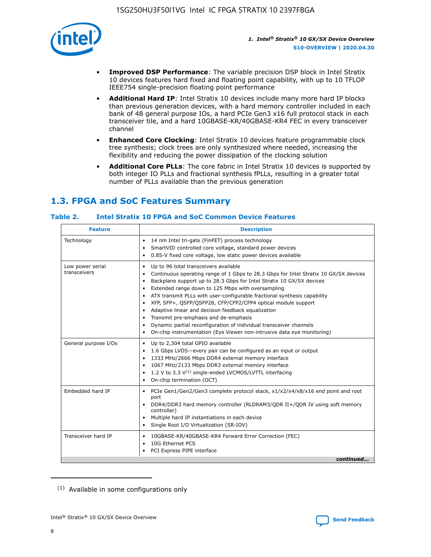

- **Improved DSP Performance**: The variable precision DSP block in Intel Stratix 10 devices features hard fixed and floating point capability, with up to 10 TFLOP IEEE754 single-precision floating point performance
- **Additional Hard IP**: Intel Stratix 10 devices include many more hard IP blocks than previous generation devices, with a hard memory controller included in each bank of 48 general purpose IOs, a hard PCIe Gen3 x16 full protocol stack in each transceiver tile, and a hard 10GBASE-KR/40GBASE-KR4 FEC in every transceiver channel
- **Enhanced Core Clocking**: Intel Stratix 10 devices feature programmable clock tree synthesis; clock trees are only synthesized where needed, increasing the flexibility and reducing the power dissipation of the clocking solution
- **Additional Core PLLs**: The core fabric in Intel Stratix 10 devices is supported by both integer IO PLLs and fractional synthesis fPLLs, resulting in a greater total number of PLLs available than the previous generation

## **1.3. FPGA and SoC Features Summary**

## **Table 2. Intel Stratix 10 FPGA and SoC Common Device Features**

| <b>Feature</b>                   | <b>Description</b>                                                                                                                                                                                                                                                                                                                                                                                                                                                                                                                                                                                                                                                             |
|----------------------------------|--------------------------------------------------------------------------------------------------------------------------------------------------------------------------------------------------------------------------------------------------------------------------------------------------------------------------------------------------------------------------------------------------------------------------------------------------------------------------------------------------------------------------------------------------------------------------------------------------------------------------------------------------------------------------------|
| Technology                       | 14 nm Intel tri-gate (FinFET) process technology<br>٠<br>SmartVID controlled core voltage, standard power devices<br>0.85-V fixed core voltage, low static power devices available                                                                                                                                                                                                                                                                                                                                                                                                                                                                                             |
| Low power serial<br>transceivers | Up to 96 total transceivers available<br>٠<br>Continuous operating range of 1 Gbps to 28.3 Gbps for Intel Stratix 10 GX/SX devices<br>Backplane support up to 28.3 Gbps for Intel Stratix 10 GX/SX devices<br>$\bullet$<br>Extended range down to 125 Mbps with oversampling<br>ATX transmit PLLs with user-configurable fractional synthesis capability<br>٠<br>XFP, SFP+, OSFP/OSFP28, CFP/CFP2/CFP4 optical module support<br>• Adaptive linear and decision feedback equalization<br>Transmit pre-emphasis and de-emphasis<br>Dynamic partial reconfiguration of individual transceiver channels<br>On-chip instrumentation (Eye Viewer non-intrusive data eye monitoring) |
| General purpose I/Os             | Up to 2,304 total GPIO available<br>$\bullet$<br>1.6 Gbps LVDS-every pair can be configured as an input or output<br>1333 MHz/2666 Mbps DDR4 external memory interface<br>1067 MHz/2133 Mbps DDR3 external memory interface<br>• 1.2 V to 3.3 $V^{(1)}$ single-ended LVCMOS/LVTTL interfacing<br>On-chip termination (OCT)                                                                                                                                                                                                                                                                                                                                                     |
| Embedded hard IP                 | • PCIe Gen1/Gen2/Gen3 complete protocol stack, x1/x2/x4/x8/x16 end point and root<br>port<br>DDR4/DDR3 hard memory controller (RLDRAM3/QDR II+/QDR IV using soft memory<br>controller)<br>Multiple hard IP instantiations in each device<br>$\bullet$<br>• Single Root I/O Virtualization (SR-IOV)                                                                                                                                                                                                                                                                                                                                                                             |
| Transceiver hard IP              | 10GBASE-KR/40GBASE-KR4 Forward Error Correction (FEC)<br>$\bullet$<br>10G Ethernet PCS<br>٠<br>PCI Express PIPE interface<br>continued                                                                                                                                                                                                                                                                                                                                                                                                                                                                                                                                         |
|                                  |                                                                                                                                                                                                                                                                                                                                                                                                                                                                                                                                                                                                                                                                                |

<sup>(1)</sup> Available in some configurations only

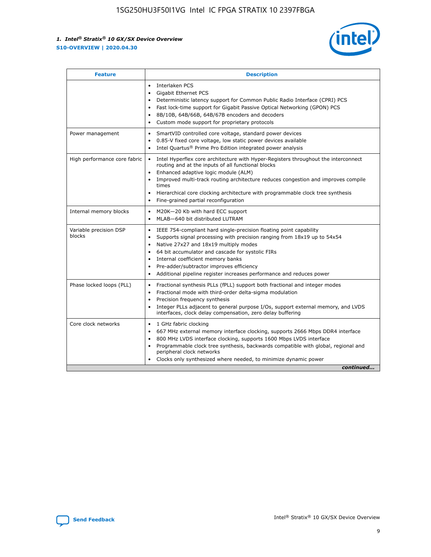

| <b>Feature</b>                   | <b>Description</b>                                                                                                                                                                                                                                                                                                                                                                                                                                                    |
|----------------------------------|-----------------------------------------------------------------------------------------------------------------------------------------------------------------------------------------------------------------------------------------------------------------------------------------------------------------------------------------------------------------------------------------------------------------------------------------------------------------------|
|                                  | Interlaken PCS<br>$\bullet$<br>Gigabit Ethernet PCS<br>$\bullet$<br>Deterministic latency support for Common Public Radio Interface (CPRI) PCS<br>$\bullet$<br>Fast lock-time support for Gigabit Passive Optical Networking (GPON) PCS<br>$\bullet$<br>8B/10B, 64B/66B, 64B/67B encoders and decoders<br>Custom mode support for proprietary protocols                                                                                                               |
| Power management                 | SmartVID controlled core voltage, standard power devices<br>$\bullet$<br>0.85-V fixed core voltage, low static power devices available<br>$\bullet$<br>Intel Quartus <sup>®</sup> Prime Pro Edition integrated power analysis<br>$\bullet$                                                                                                                                                                                                                            |
| High performance core fabric     | Intel Hyperflex core architecture with Hyper-Registers throughout the interconnect<br>routing and at the inputs of all functional blocks<br>Enhanced adaptive logic module (ALM)<br>$\bullet$<br>Improved multi-track routing architecture reduces congestion and improves compile<br>times<br>Hierarchical core clocking architecture with programmable clock tree synthesis<br>$\bullet$<br>Fine-grained partial reconfiguration                                    |
| Internal memory blocks           | M20K-20 Kb with hard ECC support<br>$\bullet$<br>MLAB-640 bit distributed LUTRAM<br>$\bullet$                                                                                                                                                                                                                                                                                                                                                                         |
| Variable precision DSP<br>blocks | IEEE 754-compliant hard single-precision floating point capability<br>$\bullet$<br>Supports signal processing with precision ranging from 18x19 up to 54x54<br>$\bullet$<br>Native 27x27 and 18x19 multiply modes<br>$\bullet$<br>64 bit accumulator and cascade for systolic FIRs<br>Internal coefficient memory banks<br>Pre-adder/subtractor improves efficiency<br>$\bullet$<br>Additional pipeline register increases performance and reduces power<br>$\bullet$ |
| Phase locked loops (PLL)         | Fractional synthesis PLLs (fPLL) support both fractional and integer modes<br>$\bullet$<br>Fractional mode with third-order delta-sigma modulation<br>Precision frequency synthesis<br>$\bullet$<br>Integer PLLs adjacent to general purpose I/Os, support external memory, and LVDS<br>$\bullet$<br>interfaces, clock delay compensation, zero delay buffering                                                                                                       |
| Core clock networks              | 1 GHz fabric clocking<br>$\bullet$<br>667 MHz external memory interface clocking, supports 2666 Mbps DDR4 interface<br>٠<br>800 MHz LVDS interface clocking, supports 1600 Mbps LVDS interface<br>$\bullet$<br>Programmable clock tree synthesis, backwards compatible with global, regional and<br>$\bullet$<br>peripheral clock networks<br>Clocks only synthesized where needed, to minimize dynamic power<br>continued                                            |

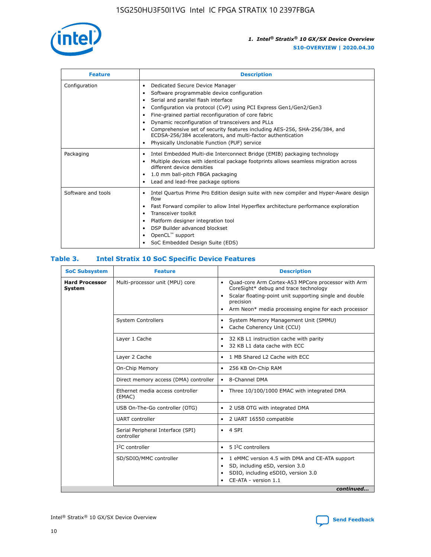

| <b>Feature</b>     | <b>Description</b>                                                                                                                                                                                                                                                                                                                                                                                                                                                                                                    |
|--------------------|-----------------------------------------------------------------------------------------------------------------------------------------------------------------------------------------------------------------------------------------------------------------------------------------------------------------------------------------------------------------------------------------------------------------------------------------------------------------------------------------------------------------------|
| Configuration      | Dedicated Secure Device Manager<br>٠<br>Software programmable device configuration<br>٠<br>Serial and parallel flash interface<br>٠<br>Configuration via protocol (CvP) using PCI Express Gen1/Gen2/Gen3<br>Fine-grained partial reconfiguration of core fabric<br>Dynamic reconfiguration of transceivers and PLLs<br>٠<br>Comprehensive set of security features including AES-256, SHA-256/384, and<br>ECDSA-256/384 accelerators, and multi-factor authentication<br>Physically Unclonable Function (PUF) service |
| Packaging          | Intel Embedded Multi-die Interconnect Bridge (EMIB) packaging technology<br>٠<br>Multiple devices with identical package footprints allows seamless migration across<br>٠<br>different device densities<br>1.0 mm ball-pitch FBGA packaging<br>٠<br>Lead and lead-free package options                                                                                                                                                                                                                                |
| Software and tools | Intel Quartus Prime Pro Edition design suite with new compiler and Hyper-Aware design<br>flow<br>Fast Forward compiler to allow Intel Hyperflex architecture performance exploration<br>٠<br>Transceiver toolkit<br>Platform designer integration tool<br>DSP Builder advanced blockset<br>OpenCL <sup>™</sup> support<br>SoC Embedded Design Suite (EDS)                                                                                                                                                             |

## **Table 3. Intel Stratix 10 SoC Specific Device Features**

| <b>Hard Processor</b><br>Multi-processor unit (MPU) core<br>Quad-core Arm Cortex-A53 MPCore processor with Arm<br>$\bullet$<br>CoreSight* debug and trace technology<br>System<br>Scalar floating-point unit supporting single and double<br>$\bullet$<br>precision<br>Arm Neon* media processing engine for each processor<br>$\bullet$<br><b>System Controllers</b><br>System Memory Management Unit (SMMU)<br>$\bullet$<br>Cache Coherency Unit (CCU)<br>$\bullet$<br>Layer 1 Cache<br>32 KB L1 instruction cache with parity<br>$\bullet$<br>32 KB L1 data cache with ECC<br>$\bullet$<br>Layer 2 Cache<br>1 MB Shared L2 Cache with ECC<br>$\bullet$<br>On-Chip Memory<br>256 KB On-Chip RAM<br>٠<br>Direct memory access (DMA) controller<br>8-Channel DMA<br>$\bullet$<br>Ethernet media access controller<br>Three 10/100/1000 EMAC with integrated DMA<br>$\bullet$<br>(EMAC)<br>USB On-The-Go controller (OTG)<br>2 USB OTG with integrated DMA<br>$\bullet$<br><b>UART</b> controller<br>2 UART 16550 compatible<br>$\bullet$<br>Serial Peripheral Interface (SPI)<br>4 SPI<br>$\bullet$<br>controller<br>$I2C$ controller<br>5 <sup>2</sup> C controllers<br>$\bullet$<br>SD/SDIO/MMC controller<br>1 eMMC version 4.5 with DMA and CE-ATA support<br>$\bullet$<br>SD, including eSD, version 3.0<br>$\bullet$<br>SDIO, including eSDIO, version 3.0<br>$\bullet$<br>CE-ATA - version 1.1 | <b>SoC Subsystem</b> | <b>Feature</b> | <b>Description</b> |  |  |
|-------------------------------------------------------------------------------------------------------------------------------------------------------------------------------------------------------------------------------------------------------------------------------------------------------------------------------------------------------------------------------------------------------------------------------------------------------------------------------------------------------------------------------------------------------------------------------------------------------------------------------------------------------------------------------------------------------------------------------------------------------------------------------------------------------------------------------------------------------------------------------------------------------------------------------------------------------------------------------------------------------------------------------------------------------------------------------------------------------------------------------------------------------------------------------------------------------------------------------------------------------------------------------------------------------------------------------------------------------------------------------------------------------|----------------------|----------------|--------------------|--|--|
|                                                                                                                                                                                                                                                                                                                                                                                                                                                                                                                                                                                                                                                                                                                                                                                                                                                                                                                                                                                                                                                                                                                                                                                                                                                                                                                                                                                                       |                      |                |                    |  |  |
|                                                                                                                                                                                                                                                                                                                                                                                                                                                                                                                                                                                                                                                                                                                                                                                                                                                                                                                                                                                                                                                                                                                                                                                                                                                                                                                                                                                                       |                      |                |                    |  |  |
|                                                                                                                                                                                                                                                                                                                                                                                                                                                                                                                                                                                                                                                                                                                                                                                                                                                                                                                                                                                                                                                                                                                                                                                                                                                                                                                                                                                                       |                      |                |                    |  |  |
|                                                                                                                                                                                                                                                                                                                                                                                                                                                                                                                                                                                                                                                                                                                                                                                                                                                                                                                                                                                                                                                                                                                                                                                                                                                                                                                                                                                                       |                      |                |                    |  |  |
|                                                                                                                                                                                                                                                                                                                                                                                                                                                                                                                                                                                                                                                                                                                                                                                                                                                                                                                                                                                                                                                                                                                                                                                                                                                                                                                                                                                                       |                      |                |                    |  |  |
|                                                                                                                                                                                                                                                                                                                                                                                                                                                                                                                                                                                                                                                                                                                                                                                                                                                                                                                                                                                                                                                                                                                                                                                                                                                                                                                                                                                                       |                      |                |                    |  |  |
|                                                                                                                                                                                                                                                                                                                                                                                                                                                                                                                                                                                                                                                                                                                                                                                                                                                                                                                                                                                                                                                                                                                                                                                                                                                                                                                                                                                                       |                      |                |                    |  |  |
|                                                                                                                                                                                                                                                                                                                                                                                                                                                                                                                                                                                                                                                                                                                                                                                                                                                                                                                                                                                                                                                                                                                                                                                                                                                                                                                                                                                                       |                      |                |                    |  |  |
|                                                                                                                                                                                                                                                                                                                                                                                                                                                                                                                                                                                                                                                                                                                                                                                                                                                                                                                                                                                                                                                                                                                                                                                                                                                                                                                                                                                                       |                      |                |                    |  |  |
|                                                                                                                                                                                                                                                                                                                                                                                                                                                                                                                                                                                                                                                                                                                                                                                                                                                                                                                                                                                                                                                                                                                                                                                                                                                                                                                                                                                                       |                      |                |                    |  |  |
|                                                                                                                                                                                                                                                                                                                                                                                                                                                                                                                                                                                                                                                                                                                                                                                                                                                                                                                                                                                                                                                                                                                                                                                                                                                                                                                                                                                                       |                      |                |                    |  |  |
| continued                                                                                                                                                                                                                                                                                                                                                                                                                                                                                                                                                                                                                                                                                                                                                                                                                                                                                                                                                                                                                                                                                                                                                                                                                                                                                                                                                                                             |                      |                |                    |  |  |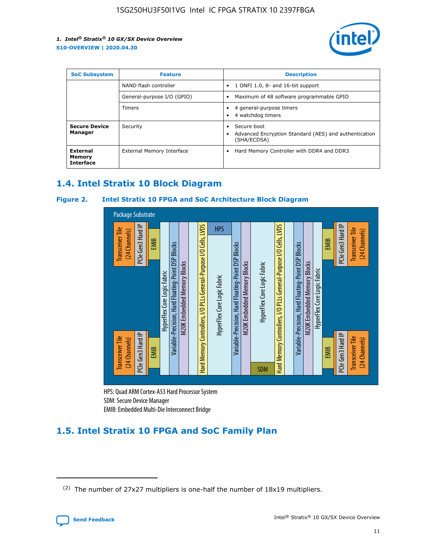

| <b>SoC Subsystem</b><br><b>Feature</b> |                            | <b>Description</b>                                                                                    |  |  |
|----------------------------------------|----------------------------|-------------------------------------------------------------------------------------------------------|--|--|
|                                        | NAND flash controller      | 1 ONFI 1.0, 8- and 16-bit support<br>$\bullet$                                                        |  |  |
|                                        | General-purpose I/O (GPIO) | Maximum of 48 software programmable GPIO<br>$\bullet$                                                 |  |  |
|                                        | Timers                     | 4 general-purpose timers<br>4 watchdog timers<br>٠                                                    |  |  |
| <b>Secure Device</b><br>Manager        | Security                   | Secure boot<br>$\bullet$<br>Advanced Encryption Standard (AES) and authentication<br>٠<br>(SHA/ECDSA) |  |  |
| External<br>Memory<br><b>Interface</b> | External Memory Interface  | Hard Memory Controller with DDR4 and DDR3<br>$\bullet$                                                |  |  |

## **1.4. Intel Stratix 10 Block Diagram**

## **Figure 2. Intel Stratix 10 FPGA and SoC Architecture Block Diagram**



HPS: Quad ARM Cortex-A53 Hard Processor System SDM: Secure Device Manager

## **1.5. Intel Stratix 10 FPGA and SoC Family Plan**

<sup>(2)</sup> The number of 27x27 multipliers is one-half the number of 18x19 multipliers.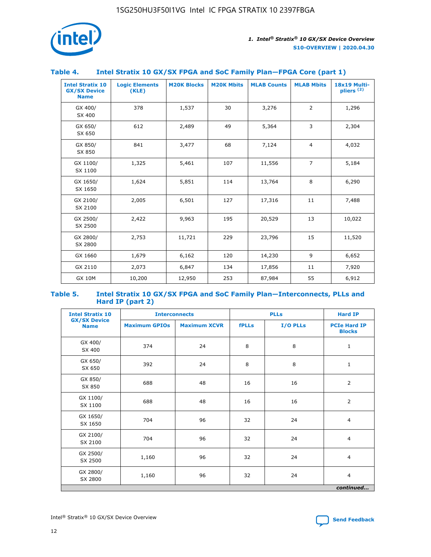

## **Table 4. Intel Stratix 10 GX/SX FPGA and SoC Family Plan—FPGA Core (part 1)**

| <b>Intel Stratix 10</b><br><b>GX/SX Device</b><br><b>Name</b> | <b>Logic Elements</b><br>(KLE) | <b>M20K Blocks</b> | <b>M20K Mbits</b> | <b>MLAB Counts</b> | <b>MLAB Mbits</b> | 18x19 Multi-<br>pliers <sup>(2)</sup> |
|---------------------------------------------------------------|--------------------------------|--------------------|-------------------|--------------------|-------------------|---------------------------------------|
| GX 400/<br>SX 400                                             | 378                            | 1,537              | 30                | 3,276              | $\overline{2}$    | 1,296                                 |
| GX 650/<br>SX 650                                             | 612                            | 2,489              | 49                | 5,364              | 3                 | 2,304                                 |
| GX 850/<br>SX 850                                             | 841                            | 3,477              | 68                | 7,124              | $\overline{4}$    | 4,032                                 |
| GX 1100/<br>SX 1100                                           | 1,325                          | 5,461              | 107               | 11,556             | $\overline{7}$    | 5,184                                 |
| GX 1650/<br>SX 1650                                           | 1,624                          | 5,851              | 114               | 13,764             | 8                 | 6,290                                 |
| GX 2100/<br>SX 2100                                           | 2,005                          | 6,501              | 127               | 17,316             | 11                | 7,488                                 |
| GX 2500/<br>SX 2500                                           | 2,422                          | 9,963              | 195               | 20,529             | 13                | 10,022                                |
| GX 2800/<br>SX 2800                                           | 2,753                          | 11,721             | 229               | 23,796             | 15                | 11,520                                |
| GX 1660                                                       | 1,679                          | 6,162              | 120               | 14,230             | 9                 | 6,652                                 |
| GX 2110                                                       | 2,073                          | 6,847              | 134               | 17,856             | 11                | 7,920                                 |
| <b>GX 10M</b>                                                 | 10,200                         | 12,950             | 253               | 87,984             | 55                | 6,912                                 |

#### **Table 5. Intel Stratix 10 GX/SX FPGA and SoC Family Plan—Interconnects, PLLs and Hard IP (part 2)**

| <b>Intel Stratix 10</b>            | <b>Interconnects</b> |                     | <b>PLLs</b>  |          | <b>Hard IP</b>                       |  |
|------------------------------------|----------------------|---------------------|--------------|----------|--------------------------------------|--|
| <b>GX/SX Device</b><br><b>Name</b> | <b>Maximum GPIOs</b> | <b>Maximum XCVR</b> | <b>fPLLs</b> | I/O PLLs | <b>PCIe Hard IP</b><br><b>Blocks</b> |  |
| GX 400/<br>SX 400                  | 374                  | 24                  | 8            | 8        | $\mathbf{1}$                         |  |
| GX 650/<br>SX 650                  | 392                  | 24                  | 8            | 8        | $\mathbf{1}$                         |  |
| GX 850/<br>SX 850                  | 688                  | 48                  | 16           | 16       | 2                                    |  |
| GX 1100/<br>SX 1100                | 688                  | 48                  | 16           | 16       | 2                                    |  |
| GX 1650/<br>SX 1650                | 704                  | 96                  | 32           | 24       | $\overline{4}$                       |  |
| GX 2100/<br>SX 2100                | 704                  | 96                  | 32           | 24       | $\overline{4}$                       |  |
| GX 2500/<br>SX 2500                | 1,160                | 96                  | 32           | 24       | $\overline{4}$                       |  |
| GX 2800/<br>SX 2800                | 1,160                | 96                  | 32           | 24       | $\overline{4}$                       |  |
| continued                          |                      |                     |              |          |                                      |  |

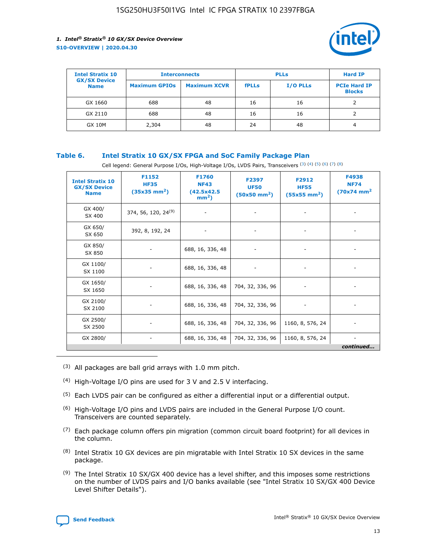

| <b>Intel Stratix 10</b>            |                      | <b>Interconnects</b> |              | <b>PLLs</b>     | <b>Hard IP</b>                       |
|------------------------------------|----------------------|----------------------|--------------|-----------------|--------------------------------------|
| <b>GX/SX Device</b><br><b>Name</b> | <b>Maximum GPIOs</b> | <b>Maximum XCVR</b>  | <b>fPLLs</b> | <b>I/O PLLs</b> | <b>PCIe Hard IP</b><br><b>Blocks</b> |
| GX 1660                            | 688                  | 48                   | 16           | 16              |                                      |
| GX 2110                            | 688                  | 48                   | 16           | 16              |                                      |
| <b>GX 10M</b>                      | 2,304                | 48                   | 24           | 48              | 4                                    |

## **Table 6. Intel Stratix 10 GX/SX FPGA and SoC Family Package Plan**

Cell legend: General Purpose I/Os, High-Voltage I/Os, LVDS Pairs, Transceivers (3) (4) (5) (6) (7) (8)

| <b>Intel Stratix 10</b><br><b>GX/SX Device</b><br><b>Name</b> | F1152<br><b>HF35</b><br>$(35x35)$ mm <sup>2</sup> ) | <b>F1760</b><br><b>NF43</b><br>(42.5x42.5<br>$mm2$ ) | F2397<br><b>UF50</b><br>$(50x50 \text{ mm}^2)$ | F2912<br><b>HF55</b><br>$(55x55 \text{ mm}^2)$ | F4938<br><b>NF74</b><br>$(70x74)$ mm <sup>2</sup> |
|---------------------------------------------------------------|-----------------------------------------------------|------------------------------------------------------|------------------------------------------------|------------------------------------------------|---------------------------------------------------|
| GX 400/<br>SX 400                                             | 374, 56, 120, 24 <sup>(9)</sup>                     | $\overline{\phantom{a}}$                             | $\overline{\phantom{a}}$                       |                                                |                                                   |
| GX 650/<br>SX 650                                             | 392, 8, 192, 24                                     | ٠                                                    | $\qquad \qquad \blacksquare$                   |                                                |                                                   |
| GX 850/<br>SX 850                                             | $\overline{\phantom{a}}$                            | 688, 16, 336, 48                                     | $\overline{\phantom{a}}$                       |                                                |                                                   |
| GX 1100/<br>SX 1100                                           | ۰                                                   | 688, 16, 336, 48                                     |                                                |                                                |                                                   |
| GX 1650/<br>SX 1650                                           |                                                     | 688, 16, 336, 48                                     | 704, 32, 336, 96                               | $\overline{\phantom{0}}$                       | $\overline{\phantom{0}}$                          |
| GX 2100/<br>SX 2100                                           |                                                     | 688, 16, 336, 48                                     | 704, 32, 336, 96                               | $\overline{\phantom{a}}$                       | ٠                                                 |
| GX 2500/<br>SX 2500                                           |                                                     | 688, 16, 336, 48                                     | 704, 32, 336, 96                               | 1160, 8, 576, 24                               |                                                   |
| GX 2800/                                                      | -                                                   | 688, 16, 336, 48                                     | 704, 32, 336, 96                               | 1160, 8, 576, 24                               | continued                                         |

- (3) All packages are ball grid arrays with 1.0 mm pitch.
- (4) High-Voltage I/O pins are used for 3 V and 2.5 V interfacing.
- $(5)$  Each LVDS pair can be configured as either a differential input or a differential output.
- (6) High-Voltage I/O pins and LVDS pairs are included in the General Purpose I/O count. Transceivers are counted separately.
- $(7)$  Each package column offers pin migration (common circuit board footprint) for all devices in the column.
- $(8)$  Intel Stratix 10 GX devices are pin migratable with Intel Stratix 10 SX devices in the same package.
- $(9)$  The Intel Stratix 10 SX/GX 400 device has a level shifter, and this imposes some restrictions on the number of LVDS pairs and I/O banks available (see "Intel Stratix 10 SX/GX 400 Device Level Shifter Details").

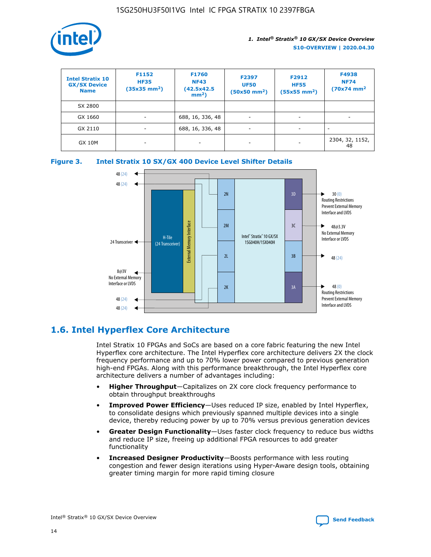

| <b>Intel Stratix 10</b><br><b>GX/SX Device</b><br><b>Name</b> | F1152<br><b>HF35</b><br>$(35x35)$ mm <sup>2</sup> ) | F1760<br><b>NF43</b><br>(42.5x42.5<br>$mm2$ ) | F2397<br><b>UF50</b><br>$(50x50 \text{ mm}^2)$ | F2912<br><b>HF55</b><br>$(55x55$ mm <sup>2</sup> ) | F4938<br><b>NF74</b><br>$(70x74)$ mm <sup>2</sup> |
|---------------------------------------------------------------|-----------------------------------------------------|-----------------------------------------------|------------------------------------------------|----------------------------------------------------|---------------------------------------------------|
| SX 2800                                                       |                                                     |                                               |                                                |                                                    |                                                   |
| GX 1660                                                       | -                                                   | 688, 16, 336, 48                              | $\overline{\phantom{a}}$                       |                                                    |                                                   |
| GX 2110                                                       |                                                     | 688, 16, 336, 48                              | $\overline{\phantom{a}}$                       |                                                    |                                                   |
| <b>GX 10M</b>                                                 | ۰                                                   |                                               |                                                |                                                    | 2304, 32, 1152,<br>48                             |





## **1.6. Intel Hyperflex Core Architecture**

Intel Stratix 10 FPGAs and SoCs are based on a core fabric featuring the new Intel Hyperflex core architecture. The Intel Hyperflex core architecture delivers 2X the clock frequency performance and up to 70% lower power compared to previous generation high-end FPGAs. Along with this performance breakthrough, the Intel Hyperflex core architecture delivers a number of advantages including:

- **Higher Throughput**—Capitalizes on 2X core clock frequency performance to obtain throughput breakthroughs
- **Improved Power Efficiency**—Uses reduced IP size, enabled by Intel Hyperflex, to consolidate designs which previously spanned multiple devices into a single device, thereby reducing power by up to 70% versus previous generation devices
- **Greater Design Functionality**—Uses faster clock frequency to reduce bus widths and reduce IP size, freeing up additional FPGA resources to add greater functionality
- **Increased Designer Productivity**—Boosts performance with less routing congestion and fewer design iterations using Hyper-Aware design tools, obtaining greater timing margin for more rapid timing closure

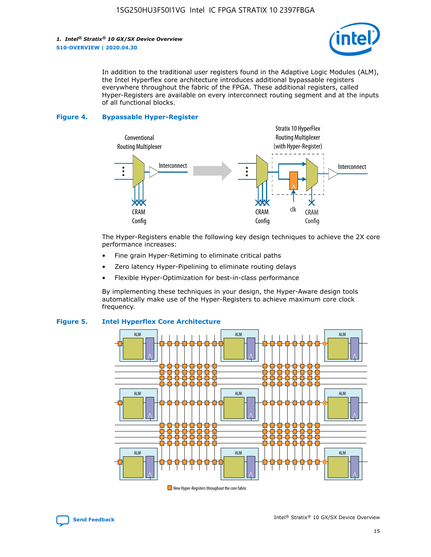

In addition to the traditional user registers found in the Adaptive Logic Modules (ALM), the Intel Hyperflex core architecture introduces additional bypassable registers everywhere throughout the fabric of the FPGA. These additional registers, called Hyper-Registers are available on every interconnect routing segment and at the inputs of all functional blocks.

#### **Figure 4. Bypassable Hyper-Register**



The Hyper-Registers enable the following key design techniques to achieve the 2X core performance increases:

- Fine grain Hyper-Retiming to eliminate critical paths
- Zero latency Hyper-Pipelining to eliminate routing delays
- Flexible Hyper-Optimization for best-in-class performance

By implementing these techniques in your design, the Hyper-Aware design tools automatically make use of the Hyper-Registers to achieve maximum core clock frequency.



## **Figure 5. Intel Hyperflex Core Architecture**

New Hyper-Registers throughout the core fabric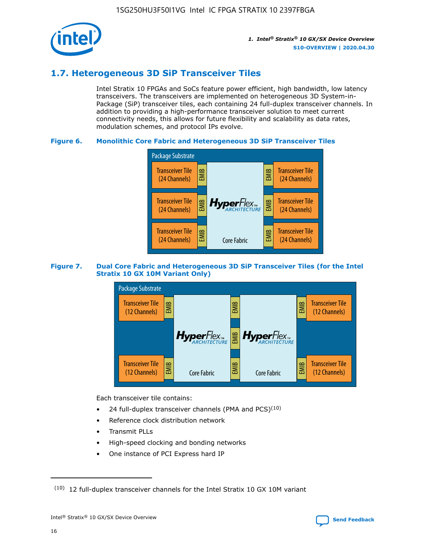

## **1.7. Heterogeneous 3D SiP Transceiver Tiles**

Intel Stratix 10 FPGAs and SoCs feature power efficient, high bandwidth, low latency transceivers. The transceivers are implemented on heterogeneous 3D System-in-Package (SiP) transceiver tiles, each containing 24 full-duplex transceiver channels. In addition to providing a high-performance transceiver solution to meet current connectivity needs, this allows for future flexibility and scalability as data rates, modulation schemes, and protocol IPs evolve.

## **Figure 6. Monolithic Core Fabric and Heterogeneous 3D SiP Transceiver Tiles**



## **Figure 7. Dual Core Fabric and Heterogeneous 3D SiP Transceiver Tiles (for the Intel Stratix 10 GX 10M Variant Only)**



Each transceiver tile contains:

- 24 full-duplex transceiver channels (PMA and PCS) $(10)$
- Reference clock distribution network
- Transmit PLLs
- High-speed clocking and bonding networks
- One instance of PCI Express hard IP

 $(10)$  12 full-duplex transceiver channels for the Intel Stratix 10 GX 10M variant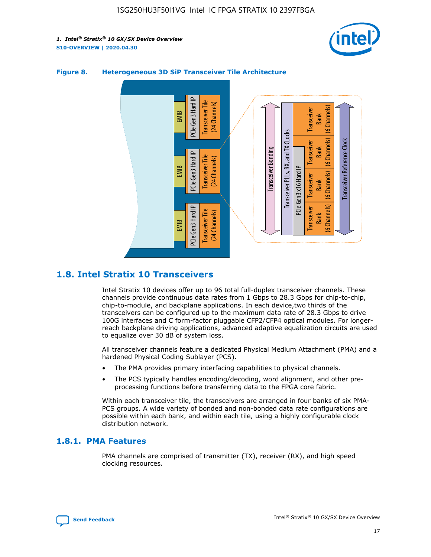



## **Figure 8. Heterogeneous 3D SiP Transceiver Tile Architecture**

## **1.8. Intel Stratix 10 Transceivers**

Intel Stratix 10 devices offer up to 96 total full-duplex transceiver channels. These channels provide continuous data rates from 1 Gbps to 28.3 Gbps for chip-to-chip, chip-to-module, and backplane applications. In each device,two thirds of the transceivers can be configured up to the maximum data rate of 28.3 Gbps to drive 100G interfaces and C form-factor pluggable CFP2/CFP4 optical modules. For longerreach backplane driving applications, advanced adaptive equalization circuits are used to equalize over 30 dB of system loss.

All transceiver channels feature a dedicated Physical Medium Attachment (PMA) and a hardened Physical Coding Sublayer (PCS).

- The PMA provides primary interfacing capabilities to physical channels.
- The PCS typically handles encoding/decoding, word alignment, and other preprocessing functions before transferring data to the FPGA core fabric.

Within each transceiver tile, the transceivers are arranged in four banks of six PMA-PCS groups. A wide variety of bonded and non-bonded data rate configurations are possible within each bank, and within each tile, using a highly configurable clock distribution network.

## **1.8.1. PMA Features**

PMA channels are comprised of transmitter (TX), receiver (RX), and high speed clocking resources.

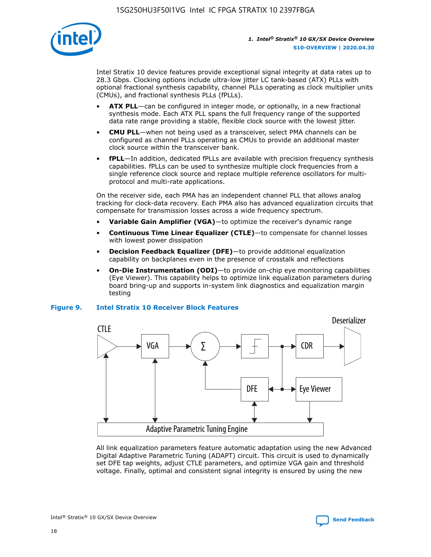

Intel Stratix 10 device features provide exceptional signal integrity at data rates up to 28.3 Gbps. Clocking options include ultra-low jitter LC tank-based (ATX) PLLs with optional fractional synthesis capability, channel PLLs operating as clock multiplier units (CMUs), and fractional synthesis PLLs (fPLLs).

- **ATX PLL**—can be configured in integer mode, or optionally, in a new fractional synthesis mode. Each ATX PLL spans the full frequency range of the supported data rate range providing a stable, flexible clock source with the lowest jitter.
- **CMU PLL**—when not being used as a transceiver, select PMA channels can be configured as channel PLLs operating as CMUs to provide an additional master clock source within the transceiver bank.
- **fPLL**—In addition, dedicated fPLLs are available with precision frequency synthesis capabilities. fPLLs can be used to synthesize multiple clock frequencies from a single reference clock source and replace multiple reference oscillators for multiprotocol and multi-rate applications.

On the receiver side, each PMA has an independent channel PLL that allows analog tracking for clock-data recovery. Each PMA also has advanced equalization circuits that compensate for transmission losses across a wide frequency spectrum.

- **Variable Gain Amplifier (VGA)**—to optimize the receiver's dynamic range
- **Continuous Time Linear Equalizer (CTLE)**—to compensate for channel losses with lowest power dissipation
- **Decision Feedback Equalizer (DFE)**—to provide additional equalization capability on backplanes even in the presence of crosstalk and reflections
- **On-Die Instrumentation (ODI)**—to provide on-chip eye monitoring capabilities (Eye Viewer). This capability helps to optimize link equalization parameters during board bring-up and supports in-system link diagnostics and equalization margin testing

## **Figure 9. Intel Stratix 10 Receiver Block Features**



All link equalization parameters feature automatic adaptation using the new Advanced Digital Adaptive Parametric Tuning (ADAPT) circuit. This circuit is used to dynamically set DFE tap weights, adjust CTLE parameters, and optimize VGA gain and threshold voltage. Finally, optimal and consistent signal integrity is ensured by using the new



Intel<sup>®</sup> Stratix<sup>®</sup> 10 GX/SX Device Overview **[Send Feedback](mailto:FPGAtechdocfeedback@intel.com?subject=Feedback%20on%20Intel%20Stratix%2010%20GX/SX%20Device%20Overview%20(S10-OVERVIEW%202020.04.30)&body=We%20appreciate%20your%20feedback.%20In%20your%20comments,%20also%20specify%20the%20page%20number%20or%20paragraph.%20Thank%20you.)** Send Feedback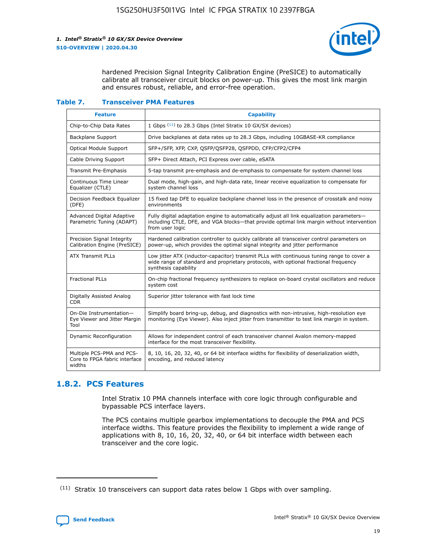

hardened Precision Signal Integrity Calibration Engine (PreSICE) to automatically calibrate all transceiver circuit blocks on power-up. This gives the most link margin and ensures robust, reliable, and error-free operation.

#### **Table 7. Transceiver PMA Features**

| <b>Feature</b>                                                       | <b>Capability</b>                                                                                                                                                                                         |
|----------------------------------------------------------------------|-----------------------------------------------------------------------------------------------------------------------------------------------------------------------------------------------------------|
| Chip-to-Chip Data Rates                                              | 1 Gbps (11) to 28.3 Gbps (Intel Stratix 10 GX/SX devices)                                                                                                                                                 |
| <b>Backplane Support</b>                                             | Drive backplanes at data rates up to 28.3 Gbps, including 10GBASE-KR compliance                                                                                                                           |
| Optical Module Support                                               | SFP+/SFP, XFP, CXP, QSFP/QSFP28, QSFPDD, CFP/CFP2/CFP4                                                                                                                                                    |
| Cable Driving Support                                                | SFP+ Direct Attach, PCI Express over cable, eSATA                                                                                                                                                         |
| <b>Transmit Pre-Emphasis</b>                                         | 5-tap transmit pre-emphasis and de-emphasis to compensate for system channel loss                                                                                                                         |
| Continuous Time Linear<br>Equalizer (CTLE)                           | Dual mode, high-gain, and high-data rate, linear receive equalization to compensate for<br>system channel loss                                                                                            |
| Decision Feedback Equalizer<br>(DFE)                                 | 15 fixed tap DFE to equalize backplane channel loss in the presence of crosstalk and noisy<br>environments                                                                                                |
| Advanced Digital Adaptive<br>Parametric Tuning (ADAPT)               | Fully digital adaptation engine to automatically adjust all link equalization parameters-<br>including CTLE, DFE, and VGA blocks—that provide optimal link margin without intervention<br>from user logic |
| Precision Signal Integrity<br>Calibration Engine (PreSICE)           | Hardened calibration controller to quickly calibrate all transceiver control parameters on<br>power-up, which provides the optimal signal integrity and jitter performance                                |
| <b>ATX Transmit PLLs</b>                                             | Low jitter ATX (inductor-capacitor) transmit PLLs with continuous tuning range to cover a<br>wide range of standard and proprietary protocols, with optional fractional frequency<br>synthesis capability |
| <b>Fractional PLLs</b>                                               | On-chip fractional frequency synthesizers to replace on-board crystal oscillators and reduce<br>system cost                                                                                               |
| Digitally Assisted Analog<br>CDR.                                    | Superior jitter tolerance with fast lock time                                                                                                                                                             |
| On-Die Instrumentation-<br>Eye Viewer and Jitter Margin<br>Tool      | Simplify board bring-up, debug, and diagnostics with non-intrusive, high-resolution eye<br>monitoring (Eye Viewer). Also inject jitter from transmitter to test link margin in system.                    |
| Dynamic Reconfiguration                                              | Allows for independent control of each transceiver channel Avalon memory-mapped<br>interface for the most transceiver flexibility.                                                                        |
| Multiple PCS-PMA and PCS-<br>Core to FPGA fabric interface<br>widths | 8, 10, 16, 20, 32, 40, or 64 bit interface widths for flexibility of deserialization width,<br>encoding, and reduced latency                                                                              |

## **1.8.2. PCS Features**

Intel Stratix 10 PMA channels interface with core logic through configurable and bypassable PCS interface layers.

The PCS contains multiple gearbox implementations to decouple the PMA and PCS interface widths. This feature provides the flexibility to implement a wide range of applications with 8, 10, 16, 20, 32, 40, or 64 bit interface width between each transceiver and the core logic.

 $(11)$  Stratix 10 transceivers can support data rates below 1 Gbps with over sampling.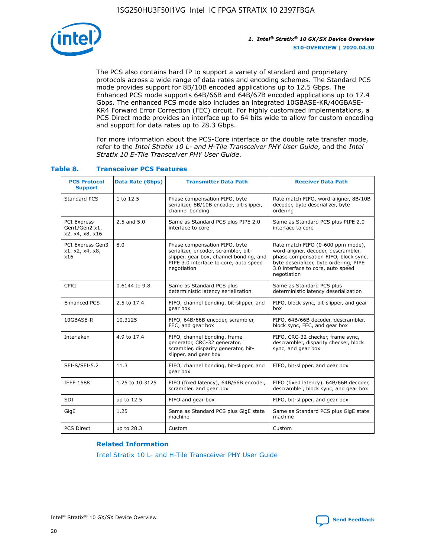

The PCS also contains hard IP to support a variety of standard and proprietary protocols across a wide range of data rates and encoding schemes. The Standard PCS mode provides support for 8B/10B encoded applications up to 12.5 Gbps. The Enhanced PCS mode supports 64B/66B and 64B/67B encoded applications up to 17.4 Gbps. The enhanced PCS mode also includes an integrated 10GBASE-KR/40GBASE-KR4 Forward Error Correction (FEC) circuit. For highly customized implementations, a PCS Direct mode provides an interface up to 64 bits wide to allow for custom encoding and support for data rates up to 28.3 Gbps.

For more information about the PCS-Core interface or the double rate transfer mode, refer to the *Intel Stratix 10 L- and H-Tile Transceiver PHY User Guide*, and the *Intel Stratix 10 E-Tile Transceiver PHY User Guide*.

| <b>PCS Protocol</b><br><b>Support</b>           | <b>Data Rate (Gbps)</b> | <b>Transmitter Data Path</b>                                                                                                                                              | <b>Receiver Data Path</b>                                                                                                                                                                                      |
|-------------------------------------------------|-------------------------|---------------------------------------------------------------------------------------------------------------------------------------------------------------------------|----------------------------------------------------------------------------------------------------------------------------------------------------------------------------------------------------------------|
| Standard PCS                                    | 1 to 12.5               | Phase compensation FIFO, byte<br>serializer, 8B/10B encoder, bit-slipper,<br>channel bonding                                                                              | Rate match FIFO, word-aligner, 8B/10B<br>decoder, byte deserializer, byte<br>ordering                                                                                                                          |
| PCI Express<br>Gen1/Gen2 x1,<br>x2, x4, x8, x16 | $2.5$ and $5.0$         | Same as Standard PCS plus PIPE 2.0<br>interface to core                                                                                                                   | Same as Standard PCS plus PIPE 2.0<br>interface to core                                                                                                                                                        |
| PCI Express Gen3<br>x1, x2, x4, x8,<br>x16      | 8.0                     | Phase compensation FIFO, byte<br>serializer, encoder, scrambler, bit-<br>slipper, gear box, channel bonding, and<br>PIPE 3.0 interface to core, auto speed<br>negotiation | Rate match FIFO (0-600 ppm mode),<br>word-aligner, decoder, descrambler,<br>phase compensation FIFO, block sync,<br>byte deserializer, byte ordering, PIPE<br>3.0 interface to core, auto speed<br>negotiation |
| CPRI                                            | 0.6144 to 9.8           | Same as Standard PCS plus<br>deterministic latency serialization                                                                                                          | Same as Standard PCS plus<br>deterministic latency deserialization                                                                                                                                             |
| <b>Enhanced PCS</b>                             | 2.5 to 17.4             | FIFO, channel bonding, bit-slipper, and<br>gear box                                                                                                                       | FIFO, block sync, bit-slipper, and gear<br>box                                                                                                                                                                 |
| 10GBASE-R                                       | 10.3125                 | FIFO, 64B/66B encoder, scrambler,<br>FEC, and gear box                                                                                                                    | FIFO, 64B/66B decoder, descrambler,<br>block sync, FEC, and gear box                                                                                                                                           |
| Interlaken                                      | 4.9 to 17.4             | FIFO, channel bonding, frame<br>generator, CRC-32 generator,<br>scrambler, disparity generator, bit-<br>slipper, and gear box                                             | FIFO, CRC-32 checker, frame sync,<br>descrambler, disparity checker, block<br>sync, and gear box                                                                                                               |
| SFI-S/SFI-5.2                                   | 11.3                    | FIFO, channel bonding, bit-slipper, and<br>gear box                                                                                                                       | FIFO, bit-slipper, and gear box                                                                                                                                                                                |
| <b>IEEE 1588</b>                                | 1.25 to 10.3125         | FIFO (fixed latency), 64B/66B encoder,<br>scrambler, and gear box                                                                                                         | FIFO (fixed latency), 64B/66B decoder,<br>descrambler, block sync, and gear box                                                                                                                                |
| SDI                                             | up to 12.5              | FIFO and gear box                                                                                                                                                         | FIFO, bit-slipper, and gear box                                                                                                                                                                                |
| GigE                                            | 1.25                    | Same as Standard PCS plus GigE state<br>machine                                                                                                                           | Same as Standard PCS plus GigE state<br>machine                                                                                                                                                                |
| <b>PCS Direct</b>                               | up to 28.3              | Custom                                                                                                                                                                    | Custom                                                                                                                                                                                                         |

## **Table 8. Transceiver PCS Features**

#### **Related Information**

[Intel Stratix 10 L- and H-Tile Transceiver PHY User Guide](https://www.altera.com/documentation/wry1479165198810.html)

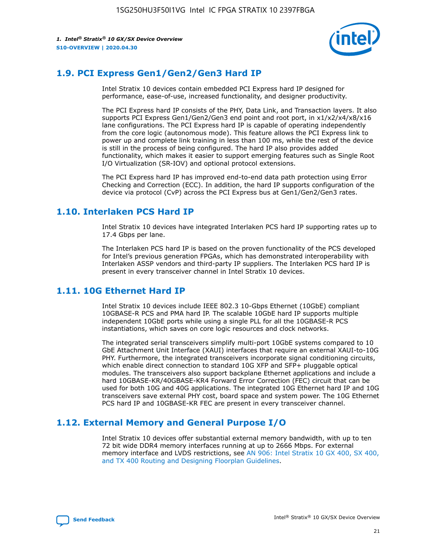

## **1.9. PCI Express Gen1/Gen2/Gen3 Hard IP**

Intel Stratix 10 devices contain embedded PCI Express hard IP designed for performance, ease-of-use, increased functionality, and designer productivity.

The PCI Express hard IP consists of the PHY, Data Link, and Transaction layers. It also supports PCI Express Gen1/Gen2/Gen3 end point and root port, in x1/x2/x4/x8/x16 lane configurations. The PCI Express hard IP is capable of operating independently from the core logic (autonomous mode). This feature allows the PCI Express link to power up and complete link training in less than 100 ms, while the rest of the device is still in the process of being configured. The hard IP also provides added functionality, which makes it easier to support emerging features such as Single Root I/O Virtualization (SR-IOV) and optional protocol extensions.

The PCI Express hard IP has improved end-to-end data path protection using Error Checking and Correction (ECC). In addition, the hard IP supports configuration of the device via protocol (CvP) across the PCI Express bus at Gen1/Gen2/Gen3 rates.

## **1.10. Interlaken PCS Hard IP**

Intel Stratix 10 devices have integrated Interlaken PCS hard IP supporting rates up to 17.4 Gbps per lane.

The Interlaken PCS hard IP is based on the proven functionality of the PCS developed for Intel's previous generation FPGAs, which has demonstrated interoperability with Interlaken ASSP vendors and third-party IP suppliers. The Interlaken PCS hard IP is present in every transceiver channel in Intel Stratix 10 devices.

## **1.11. 10G Ethernet Hard IP**

Intel Stratix 10 devices include IEEE 802.3 10-Gbps Ethernet (10GbE) compliant 10GBASE-R PCS and PMA hard IP. The scalable 10GbE hard IP supports multiple independent 10GbE ports while using a single PLL for all the 10GBASE-R PCS instantiations, which saves on core logic resources and clock networks.

The integrated serial transceivers simplify multi-port 10GbE systems compared to 10 GbE Attachment Unit Interface (XAUI) interfaces that require an external XAUI-to-10G PHY. Furthermore, the integrated transceivers incorporate signal conditioning circuits, which enable direct connection to standard 10G XFP and SFP+ pluggable optical modules. The transceivers also support backplane Ethernet applications and include a hard 10GBASE-KR/40GBASE-KR4 Forward Error Correction (FEC) circuit that can be used for both 10G and 40G applications. The integrated 10G Ethernet hard IP and 10G transceivers save external PHY cost, board space and system power. The 10G Ethernet PCS hard IP and 10GBASE-KR FEC are present in every transceiver channel.

## **1.12. External Memory and General Purpose I/O**

Intel Stratix 10 devices offer substantial external memory bandwidth, with up to ten 72 bit wide DDR4 memory interfaces running at up to 2666 Mbps. For external memory interface and LVDS restrictions, see [AN 906: Intel Stratix 10 GX 400, SX 400,](https://www.intel.com/content/www/us/en/programmable/documentation/sjf1574667190623.html#bft1574667627484) [and TX 400 Routing and Designing Floorplan Guidelines.](https://www.intel.com/content/www/us/en/programmable/documentation/sjf1574667190623.html#bft1574667627484)

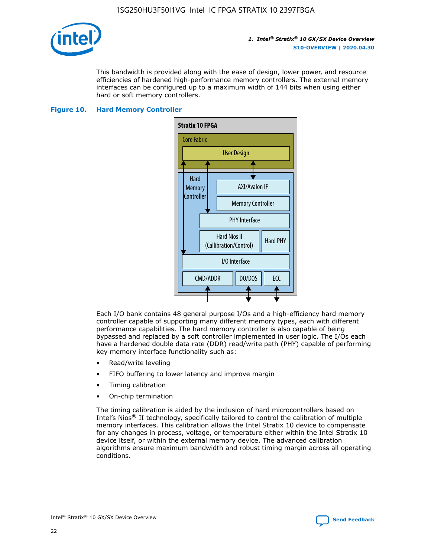

This bandwidth is provided along with the ease of design, lower power, and resource efficiencies of hardened high-performance memory controllers. The external memory interfaces can be configured up to a maximum width of 144 bits when using either hard or soft memory controllers.

## **Figure 10. Hard Memory Controller**



Each I/O bank contains 48 general purpose I/Os and a high-efficiency hard memory controller capable of supporting many different memory types, each with different performance capabilities. The hard memory controller is also capable of being bypassed and replaced by a soft controller implemented in user logic. The I/Os each have a hardened double data rate (DDR) read/write path (PHY) capable of performing key memory interface functionality such as:

- Read/write leveling
- FIFO buffering to lower latency and improve margin
- Timing calibration
- On-chip termination

The timing calibration is aided by the inclusion of hard microcontrollers based on Intel's Nios® II technology, specifically tailored to control the calibration of multiple memory interfaces. This calibration allows the Intel Stratix 10 device to compensate for any changes in process, voltage, or temperature either within the Intel Stratix 10 device itself, or within the external memory device. The advanced calibration algorithms ensure maximum bandwidth and robust timing margin across all operating conditions.

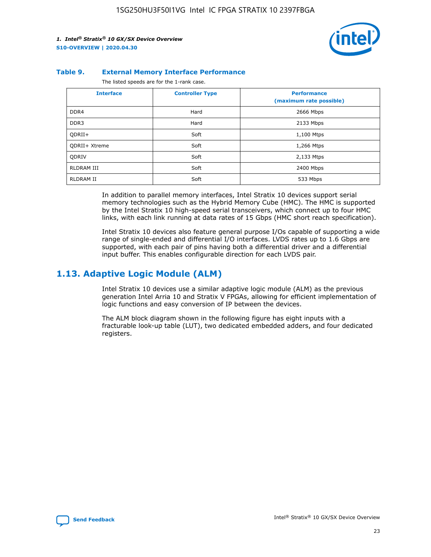

#### **Table 9. External Memory Interface Performance**

The listed speeds are for the 1-rank case.

| <b>Interface</b> | <b>Controller Type</b> | <b>Performance</b><br>(maximum rate possible) |
|------------------|------------------------|-----------------------------------------------|
| DDR4             | Hard                   | 2666 Mbps                                     |
| DDR <sub>3</sub> | Hard                   | 2133 Mbps                                     |
| QDRII+           | Soft                   | 1,100 Mtps                                    |
| QDRII+ Xtreme    | Soft                   | 1,266 Mtps                                    |
| <b>ODRIV</b>     | Soft                   | 2,133 Mtps                                    |
| RLDRAM III       | Soft                   | 2400 Mbps                                     |
| <b>RLDRAM II</b> | Soft                   | 533 Mbps                                      |

In addition to parallel memory interfaces, Intel Stratix 10 devices support serial memory technologies such as the Hybrid Memory Cube (HMC). The HMC is supported by the Intel Stratix 10 high-speed serial transceivers, which connect up to four HMC links, with each link running at data rates of 15 Gbps (HMC short reach specification).

Intel Stratix 10 devices also feature general purpose I/Os capable of supporting a wide range of single-ended and differential I/O interfaces. LVDS rates up to 1.6 Gbps are supported, with each pair of pins having both a differential driver and a differential input buffer. This enables configurable direction for each LVDS pair.

## **1.13. Adaptive Logic Module (ALM)**

Intel Stratix 10 devices use a similar adaptive logic module (ALM) as the previous generation Intel Arria 10 and Stratix V FPGAs, allowing for efficient implementation of logic functions and easy conversion of IP between the devices.

The ALM block diagram shown in the following figure has eight inputs with a fracturable look-up table (LUT), two dedicated embedded adders, and four dedicated registers.

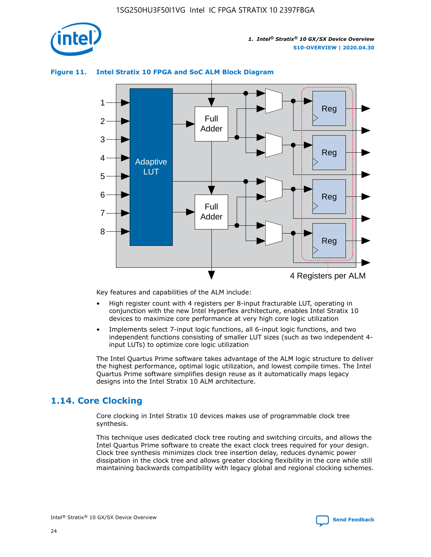

## **Figure 11. Intel Stratix 10 FPGA and SoC ALM Block Diagram**



Key features and capabilities of the ALM include:

- High register count with 4 registers per 8-input fracturable LUT, operating in conjunction with the new Intel Hyperflex architecture, enables Intel Stratix 10 devices to maximize core performance at very high core logic utilization
- Implements select 7-input logic functions, all 6-input logic functions, and two independent functions consisting of smaller LUT sizes (such as two independent 4 input LUTs) to optimize core logic utilization

The Intel Quartus Prime software takes advantage of the ALM logic structure to deliver the highest performance, optimal logic utilization, and lowest compile times. The Intel Quartus Prime software simplifies design reuse as it automatically maps legacy designs into the Intel Stratix 10 ALM architecture.

## **1.14. Core Clocking**

Core clocking in Intel Stratix 10 devices makes use of programmable clock tree synthesis.

This technique uses dedicated clock tree routing and switching circuits, and allows the Intel Quartus Prime software to create the exact clock trees required for your design. Clock tree synthesis minimizes clock tree insertion delay, reduces dynamic power dissipation in the clock tree and allows greater clocking flexibility in the core while still maintaining backwards compatibility with legacy global and regional clocking schemes.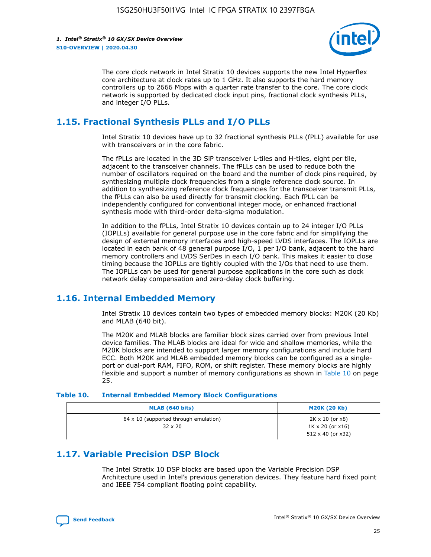

The core clock network in Intel Stratix 10 devices supports the new Intel Hyperflex core architecture at clock rates up to 1 GHz. It also supports the hard memory controllers up to 2666 Mbps with a quarter rate transfer to the core. The core clock network is supported by dedicated clock input pins, fractional clock synthesis PLLs, and integer I/O PLLs.

## **1.15. Fractional Synthesis PLLs and I/O PLLs**

Intel Stratix 10 devices have up to 32 fractional synthesis PLLs (fPLL) available for use with transceivers or in the core fabric.

The fPLLs are located in the 3D SiP transceiver L-tiles and H-tiles, eight per tile, adjacent to the transceiver channels. The fPLLs can be used to reduce both the number of oscillators required on the board and the number of clock pins required, by synthesizing multiple clock frequencies from a single reference clock source. In addition to synthesizing reference clock frequencies for the transceiver transmit PLLs, the fPLLs can also be used directly for transmit clocking. Each fPLL can be independently configured for conventional integer mode, or enhanced fractional synthesis mode with third-order delta-sigma modulation.

In addition to the fPLLs, Intel Stratix 10 devices contain up to 24 integer I/O PLLs (IOPLLs) available for general purpose use in the core fabric and for simplifying the design of external memory interfaces and high-speed LVDS interfaces. The IOPLLs are located in each bank of 48 general purpose I/O, 1 per I/O bank, adjacent to the hard memory controllers and LVDS SerDes in each I/O bank. This makes it easier to close timing because the IOPLLs are tightly coupled with the I/Os that need to use them. The IOPLLs can be used for general purpose applications in the core such as clock network delay compensation and zero-delay clock buffering.

## **1.16. Internal Embedded Memory**

Intel Stratix 10 devices contain two types of embedded memory blocks: M20K (20 Kb) and MLAB (640 bit).

The M20K and MLAB blocks are familiar block sizes carried over from previous Intel device families. The MLAB blocks are ideal for wide and shallow memories, while the M20K blocks are intended to support larger memory configurations and include hard ECC. Both M20K and MLAB embedded memory blocks can be configured as a singleport or dual-port RAM, FIFO, ROM, or shift register. These memory blocks are highly flexible and support a number of memory configurations as shown in Table 10 on page 25.

#### **Table 10. Internal Embedded Memory Block Configurations**

| MLAB (640 bits)                                                | <b>M20K (20 Kb)</b>                                                                    |
|----------------------------------------------------------------|----------------------------------------------------------------------------------------|
| $64 \times 10$ (supported through emulation)<br>$32 \times 20$ | $2K \times 10$ (or $x8$ )<br>$1K \times 20$ (or $x16$ )<br>$512 \times 40$ (or $x32$ ) |

## **1.17. Variable Precision DSP Block**

The Intel Stratix 10 DSP blocks are based upon the Variable Precision DSP Architecture used in Intel's previous generation devices. They feature hard fixed point and IEEE 754 compliant floating point capability.

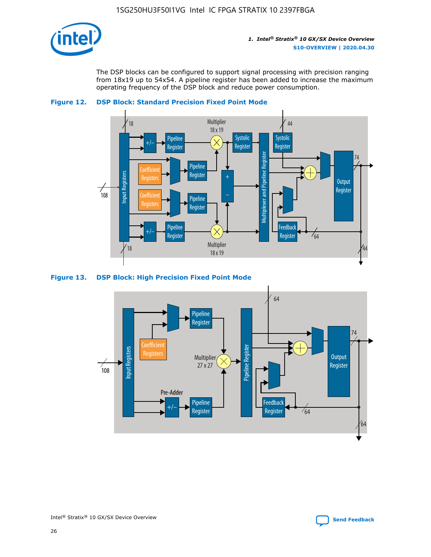

The DSP blocks can be configured to support signal processing with precision ranging from 18x19 up to 54x54. A pipeline register has been added to increase the maximum operating frequency of the DSP block and reduce power consumption.





#### **Figure 13. DSP Block: High Precision Fixed Point Mode**

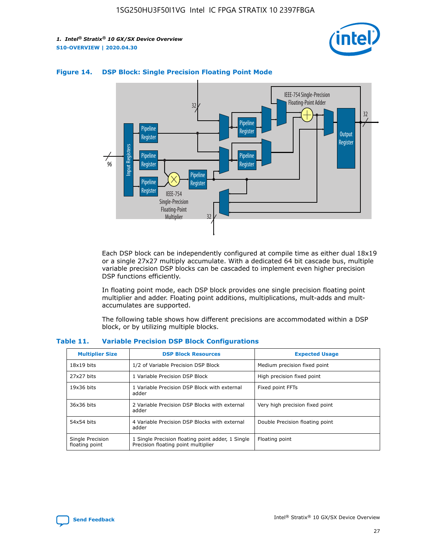



## **Figure 14. DSP Block: Single Precision Floating Point Mode**

Each DSP block can be independently configured at compile time as either dual 18x19 or a single 27x27 multiply accumulate. With a dedicated 64 bit cascade bus, multiple variable precision DSP blocks can be cascaded to implement even higher precision DSP functions efficiently.

In floating point mode, each DSP block provides one single precision floating point multiplier and adder. Floating point additions, multiplications, mult-adds and multaccumulates are supported.

The following table shows how different precisions are accommodated within a DSP block, or by utilizing multiple blocks.

| <b>Multiplier Size</b>             | <b>DSP Block Resources</b>                                                               | <b>Expected Usage</b>           |
|------------------------------------|------------------------------------------------------------------------------------------|---------------------------------|
| $18x19$ bits                       | 1/2 of Variable Precision DSP Block                                                      | Medium precision fixed point    |
| 27x27 bits                         | 1 Variable Precision DSP Block                                                           | High precision fixed point      |
| $19x36$ bits                       | 1 Variable Precision DSP Block with external<br>adder                                    | Fixed point FFTs                |
| 36x36 bits                         | 2 Variable Precision DSP Blocks with external<br>adder                                   | Very high precision fixed point |
| 54x54 bits                         | 4 Variable Precision DSP Blocks with external<br>adder                                   | Double Precision floating point |
| Single Precision<br>floating point | 1 Single Precision floating point adder, 1 Single<br>Precision floating point multiplier | Floating point                  |

#### **Table 11. Variable Precision DSP Block Configurations**

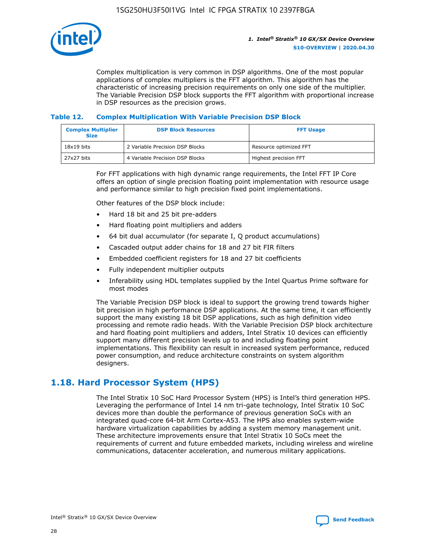

Complex multiplication is very common in DSP algorithms. One of the most popular applications of complex multipliers is the FFT algorithm. This algorithm has the characteristic of increasing precision requirements on only one side of the multiplier. The Variable Precision DSP block supports the FFT algorithm with proportional increase in DSP resources as the precision grows.

## **Table 12. Complex Multiplication With Variable Precision DSP Block**

| <b>Complex Multiplier</b><br><b>Size</b> | <b>DSP Block Resources</b>      | <b>FFT Usage</b>       |
|------------------------------------------|---------------------------------|------------------------|
| $18x19$ bits                             | 2 Variable Precision DSP Blocks | Resource optimized FFT |
| 27x27 bits                               | 4 Variable Precision DSP Blocks | Highest precision FFT  |

For FFT applications with high dynamic range requirements, the Intel FFT IP Core offers an option of single precision floating point implementation with resource usage and performance similar to high precision fixed point implementations.

Other features of the DSP block include:

- Hard 18 bit and 25 bit pre-adders
- Hard floating point multipliers and adders
- 64 bit dual accumulator (for separate I, Q product accumulations)
- Cascaded output adder chains for 18 and 27 bit FIR filters
- Embedded coefficient registers for 18 and 27 bit coefficients
- Fully independent multiplier outputs
- Inferability using HDL templates supplied by the Intel Quartus Prime software for most modes

The Variable Precision DSP block is ideal to support the growing trend towards higher bit precision in high performance DSP applications. At the same time, it can efficiently support the many existing 18 bit DSP applications, such as high definition video processing and remote radio heads. With the Variable Precision DSP block architecture and hard floating point multipliers and adders, Intel Stratix 10 devices can efficiently support many different precision levels up to and including floating point implementations. This flexibility can result in increased system performance, reduced power consumption, and reduce architecture constraints on system algorithm designers.

## **1.18. Hard Processor System (HPS)**

The Intel Stratix 10 SoC Hard Processor System (HPS) is Intel's third generation HPS. Leveraging the performance of Intel 14 nm tri-gate technology, Intel Stratix 10 SoC devices more than double the performance of previous generation SoCs with an integrated quad-core 64-bit Arm Cortex-A53. The HPS also enables system-wide hardware virtualization capabilities by adding a system memory management unit. These architecture improvements ensure that Intel Stratix 10 SoCs meet the requirements of current and future embedded markets, including wireless and wireline communications, datacenter acceleration, and numerous military applications.

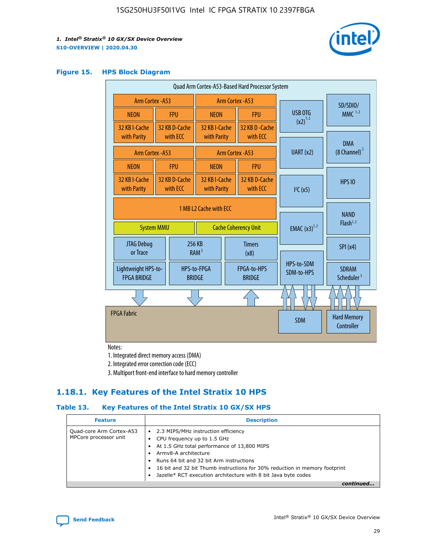

#### **Figure 15. HPS Block Diagram**

| Quad Arm Cortex-A53-Based Hard Processor System |                                             |                           |                              |                       |                                  |                                     |                                        |
|-------------------------------------------------|---------------------------------------------|---------------------------|------------------------------|-----------------------|----------------------------------|-------------------------------------|----------------------------------------|
| Arm Cortex - A53                                |                                             |                           | Arm Cortex - A53             |                       |                                  |                                     | SD/SDIO/                               |
| <b>NEON</b>                                     |                                             | <b>FPU</b>                | <b>NEON</b>                  |                       | <b>FPU</b>                       | USB OTG                             | MMC $1,2$                              |
| 32 KB I-Cache<br>with Parity                    |                                             | 32 KB D-Cache<br>with ECC | 32 KB I-Cache<br>with Parity |                       | 32 KB D - Cache<br>with ECC      | $(x2)^{1,2}$                        |                                        |
|                                                 |                                             |                           |                              |                       |                                  |                                     | <b>DMA</b>                             |
| Arm Cortex - A53                                |                                             |                           |                              |                       | <b>Arm Cortex - A53</b>          | UART (x2)                           | $(8$ Channel) $^2$                     |
| <b>NEON</b>                                     |                                             | <b>FPU</b>                | <b>NFON</b>                  |                       | <b>FPU</b>                       |                                     |                                        |
| 32 KB I-Cache<br>with Parity                    |                                             | 32 KB D-Cache<br>with ECC | 32 KB I-Cache<br>with Parity |                       | 32 KB D-Cache<br>with ECC        | I <sup>2</sup> C(x5)                | <b>HPS 10</b>                          |
|                                                 | 1 MB L2 Cache with ECC<br><b>System MMU</b> |                           | <b>Cache Coherency Unit</b>  |                       | <b>EMAC</b> $(x3)^{1,2}$         | <b>NAND</b><br>Flash <sup>1,2</sup> |                                        |
| <b>JTAG Debug</b><br>or Trace                   |                                             |                           | 256 KB<br>RAM <sup>2</sup>   | <b>Timers</b><br>(x8) |                                  |                                     | SPI(x4)                                |
| Lightweight HPS-to-<br><b>FPGA BRIDGE</b>       |                                             |                           | HPS-to-FPGA<br><b>BRIDGE</b> |                       | FPGA-to-HPS<br><b>BRIDGE</b>     | HPS-to-SDM<br>SDM-to-HPS            | <b>SDRAM</b><br>Scheduler <sup>3</sup> |
|                                                 |                                             |                           |                              |                       |                                  |                                     |                                        |
| <b>FPGA Fabric</b>                              |                                             |                           |                              | <b>SDM</b>            | <b>Hard Memory</b><br>Controller |                                     |                                        |

Notes:

1. Integrated direct memory access (DMA)

2. Integrated error correction code (ECC)

3. Multiport front-end interface to hard memory controller

## **1.18.1. Key Features of the Intel Stratix 10 HPS**

## **Table 13. Key Features of the Intel Stratix 10 GX/SX HPS**

| <b>Feature</b>                                    | <b>Description</b>                                                                                                                                                                                                                                                                                                                                     |
|---------------------------------------------------|--------------------------------------------------------------------------------------------------------------------------------------------------------------------------------------------------------------------------------------------------------------------------------------------------------------------------------------------------------|
| Quad-core Arm Cortex-A53<br>MPCore processor unit | 2.3 MIPS/MHz instruction efficiency<br>$\bullet$<br>CPU frequency up to 1.5 GHz<br>٠<br>At 1.5 GHz total performance of 13,800 MIPS<br>Army8-A architecture<br>Runs 64 bit and 32 bit Arm instructions<br>16 bit and 32 bit Thumb instructions for 30% reduction in memory footprint<br>Jazelle* RCT execution architecture with 8 bit Java byte codes |
|                                                   |                                                                                                                                                                                                                                                                                                                                                        |

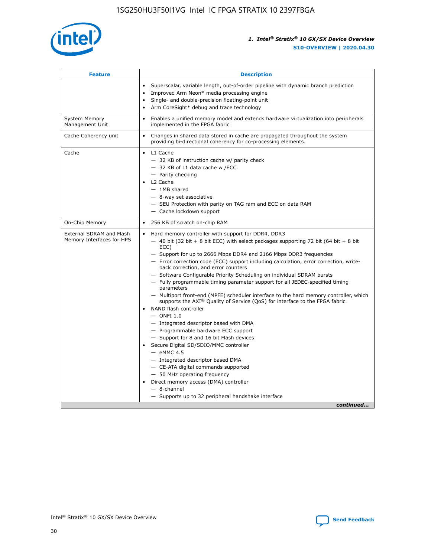

| <b>Feature</b>                                        | <b>Description</b>                                                                                                                                                                                                                                                                                                                                                                                                                                                                                                                                                                                                                                                                                                                                                                                                                                                                                                                                                                                                                                                                                                                                                                                                       |  |
|-------------------------------------------------------|--------------------------------------------------------------------------------------------------------------------------------------------------------------------------------------------------------------------------------------------------------------------------------------------------------------------------------------------------------------------------------------------------------------------------------------------------------------------------------------------------------------------------------------------------------------------------------------------------------------------------------------------------------------------------------------------------------------------------------------------------------------------------------------------------------------------------------------------------------------------------------------------------------------------------------------------------------------------------------------------------------------------------------------------------------------------------------------------------------------------------------------------------------------------------------------------------------------------------|--|
|                                                       | Superscalar, variable length, out-of-order pipeline with dynamic branch prediction<br>Improved Arm Neon* media processing engine<br>$\bullet$<br>Single- and double-precision floating-point unit<br>Arm CoreSight* debug and trace technology<br>$\bullet$                                                                                                                                                                                                                                                                                                                                                                                                                                                                                                                                                                                                                                                                                                                                                                                                                                                                                                                                                              |  |
| <b>System Memory</b><br>Management Unit               | Enables a unified memory model and extends hardware virtualization into peripherals<br>implemented in the FPGA fabric                                                                                                                                                                                                                                                                                                                                                                                                                                                                                                                                                                                                                                                                                                                                                                                                                                                                                                                                                                                                                                                                                                    |  |
| Cache Coherency unit                                  | Changes in shared data stored in cache are propagated throughout the system<br>$\bullet$<br>providing bi-directional coherency for co-processing elements.                                                                                                                                                                                                                                                                                                                                                                                                                                                                                                                                                                                                                                                                                                                                                                                                                                                                                                                                                                                                                                                               |  |
| Cache                                                 | L1 Cache<br>$\bullet$<br>- 32 KB of instruction cache w/ parity check<br>- 32 KB of L1 data cache w /ECC<br>- Parity checking<br>L <sub>2</sub> Cache<br>- 1MB shared<br>- 8-way set associative<br>- SEU Protection with parity on TAG ram and ECC on data RAM<br>- Cache lockdown support                                                                                                                                                                                                                                                                                                                                                                                                                                                                                                                                                                                                                                                                                                                                                                                                                                                                                                                              |  |
| On-Chip Memory                                        | 256 KB of scratch on-chip RAM                                                                                                                                                                                                                                                                                                                                                                                                                                                                                                                                                                                                                                                                                                                                                                                                                                                                                                                                                                                                                                                                                                                                                                                            |  |
| External SDRAM and Flash<br>Memory Interfaces for HPS | Hard memory controller with support for DDR4, DDR3<br>$\bullet$<br>$-$ 40 bit (32 bit + 8 bit ECC) with select packages supporting 72 bit (64 bit + 8 bit<br>ECC)<br>- Support for up to 2666 Mbps DDR4 and 2166 Mbps DDR3 frequencies<br>- Error correction code (ECC) support including calculation, error correction, write-<br>back correction, and error counters<br>- Software Configurable Priority Scheduling on individual SDRAM bursts<br>- Fully programmable timing parameter support for all JEDEC-specified timing<br>parameters<br>- Multiport front-end (MPFE) scheduler interface to the hard memory controller, which<br>supports the $AXI^{\circledR}$ Quality of Service (QoS) for interface to the FPGA fabric<br>NAND flash controller<br>$-$ ONFI 1.0<br>- Integrated descriptor based with DMA<br>- Programmable hardware ECC support<br>- Support for 8 and 16 bit Flash devices<br>Secure Digital SD/SDIO/MMC controller<br>$-$ eMMC 4.5<br>- Integrated descriptor based DMA<br>- CE-ATA digital commands supported<br>- 50 MHz operating frequency<br>Direct memory access (DMA) controller<br>$\bullet$<br>$-$ 8-channel<br>- Supports up to 32 peripheral handshake interface<br>continued |  |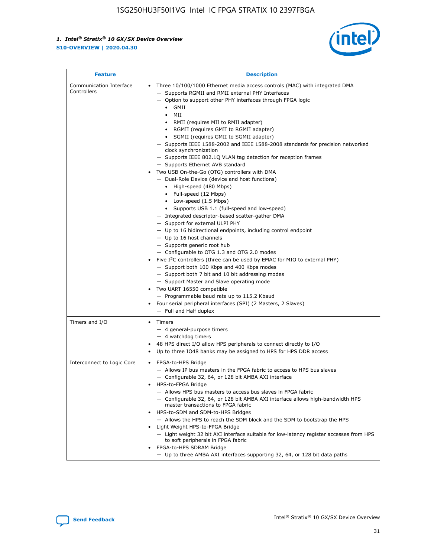

| <b>Feature</b>                         | <b>Description</b>                                                                                                                                                                                                                                                                                                                                                                                                                                                                                                                                                                                                                                                                                                                                                                                                                                                                                                                                                                                                                                                                                                                                                                                                                                                                                                                                                                                                                                                                                                  |
|----------------------------------------|---------------------------------------------------------------------------------------------------------------------------------------------------------------------------------------------------------------------------------------------------------------------------------------------------------------------------------------------------------------------------------------------------------------------------------------------------------------------------------------------------------------------------------------------------------------------------------------------------------------------------------------------------------------------------------------------------------------------------------------------------------------------------------------------------------------------------------------------------------------------------------------------------------------------------------------------------------------------------------------------------------------------------------------------------------------------------------------------------------------------------------------------------------------------------------------------------------------------------------------------------------------------------------------------------------------------------------------------------------------------------------------------------------------------------------------------------------------------------------------------------------------------|
| Communication Interface<br>Controllers | Three 10/100/1000 Ethernet media access controls (MAC) with integrated DMA<br>$\bullet$<br>- Supports RGMII and RMII external PHY Interfaces<br>- Option to support other PHY interfaces through FPGA logic<br>GMII<br>$\bullet$<br>MII<br>$\bullet$<br>• RMII (requires MII to RMII adapter)<br>• RGMII (requires GMII to RGMII adapter)<br>• SGMII (requires GMII to SGMII adapter)<br>- Supports IEEE 1588-2002 and IEEE 1588-2008 standards for precision networked<br>clock synchronization<br>- Supports IEEE 802.1Q VLAN tag detection for reception frames<br>- Supports Ethernet AVB standard<br>Two USB On-the-Go (OTG) controllers with DMA<br>- Dual-Role Device (device and host functions)<br>• High-speed (480 Mbps)<br>• Full-speed (12 Mbps)<br>• Low-speed (1.5 Mbps)<br>• Supports USB 1.1 (full-speed and low-speed)<br>- Integrated descriptor-based scatter-gather DMA<br>- Support for external ULPI PHY<br>- Up to 16 bidirectional endpoints, including control endpoint<br>$-$ Up to 16 host channels<br>- Supports generic root hub<br>- Configurable to OTG 1.3 and OTG 2.0 modes<br>Five $I^2C$ controllers (three can be used by EMAC for MIO to external PHY)<br>- Support both 100 Kbps and 400 Kbps modes<br>- Support both 7 bit and 10 bit addressing modes<br>- Support Master and Slave operating mode<br>Two UART 16550 compatible<br>- Programmable baud rate up to 115.2 Kbaud<br>• Four serial peripheral interfaces (SPI) (2 Masters, 2 Slaves)<br>- Full and Half duplex |
| Timers and I/O                         | $\bullet$ Timers<br>- 4 general-purpose timers<br>$-4$ watchdog timers<br>48 HPS direct I/O allow HPS peripherals to connect directly to I/O<br>Up to three IO48 banks may be assigned to HPS for HPS DDR access                                                                                                                                                                                                                                                                                                                                                                                                                                                                                                                                                                                                                                                                                                                                                                                                                                                                                                                                                                                                                                                                                                                                                                                                                                                                                                    |
| Interconnect to Logic Core             | • FPGA-to-HPS Bridge<br>- Allows IP bus masters in the FPGA fabric to access to HPS bus slaves<br>- Configurable 32, 64, or 128 bit AMBA AXI interface<br>HPS-to-FPGA Bridge<br>- Allows HPS bus masters to access bus slaves in FPGA fabric<br>- Configurable 32, 64, or 128 bit AMBA AXI interface allows high-bandwidth HPS<br>master transactions to FPGA fabric<br>HPS-to-SDM and SDM-to-HPS Bridges<br>- Allows the HPS to reach the SDM block and the SDM to bootstrap the HPS<br>Light Weight HPS-to-FPGA Bridge<br>- Light weight 32 bit AXI interface suitable for low-latency register accesses from HPS<br>to soft peripherals in FPGA fabric<br>FPGA-to-HPS SDRAM Bridge<br>- Up to three AMBA AXI interfaces supporting 32, 64, or 128 bit data paths                                                                                                                                                                                                                                                                                                                                                                                                                                                                                                                                                                                                                                                                                                                                                 |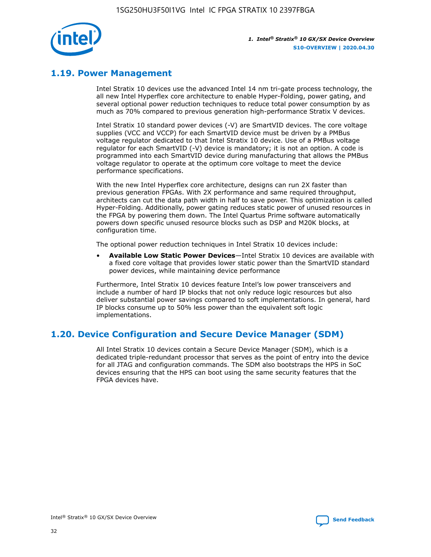

## **1.19. Power Management**

Intel Stratix 10 devices use the advanced Intel 14 nm tri-gate process technology, the all new Intel Hyperflex core architecture to enable Hyper-Folding, power gating, and several optional power reduction techniques to reduce total power consumption by as much as 70% compared to previous generation high-performance Stratix V devices.

Intel Stratix 10 standard power devices (-V) are SmartVID devices. The core voltage supplies (VCC and VCCP) for each SmartVID device must be driven by a PMBus voltage regulator dedicated to that Intel Stratix 10 device. Use of a PMBus voltage regulator for each SmartVID (-V) device is mandatory; it is not an option. A code is programmed into each SmartVID device during manufacturing that allows the PMBus voltage regulator to operate at the optimum core voltage to meet the device performance specifications.

With the new Intel Hyperflex core architecture, designs can run 2X faster than previous generation FPGAs. With 2X performance and same required throughput, architects can cut the data path width in half to save power. This optimization is called Hyper-Folding. Additionally, power gating reduces static power of unused resources in the FPGA by powering them down. The Intel Quartus Prime software automatically powers down specific unused resource blocks such as DSP and M20K blocks, at configuration time.

The optional power reduction techniques in Intel Stratix 10 devices include:

• **Available Low Static Power Devices**—Intel Stratix 10 devices are available with a fixed core voltage that provides lower static power than the SmartVID standard power devices, while maintaining device performance

Furthermore, Intel Stratix 10 devices feature Intel's low power transceivers and include a number of hard IP blocks that not only reduce logic resources but also deliver substantial power savings compared to soft implementations. In general, hard IP blocks consume up to 50% less power than the equivalent soft logic implementations.

## **1.20. Device Configuration and Secure Device Manager (SDM)**

All Intel Stratix 10 devices contain a Secure Device Manager (SDM), which is a dedicated triple-redundant processor that serves as the point of entry into the device for all JTAG and configuration commands. The SDM also bootstraps the HPS in SoC devices ensuring that the HPS can boot using the same security features that the FPGA devices have.

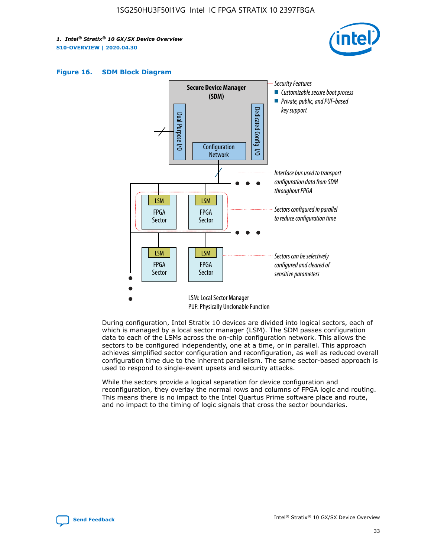





During configuration, Intel Stratix 10 devices are divided into logical sectors, each of which is managed by a local sector manager (LSM). The SDM passes configuration data to each of the LSMs across the on-chip configuration network. This allows the sectors to be configured independently, one at a time, or in parallel. This approach achieves simplified sector configuration and reconfiguration, as well as reduced overall configuration time due to the inherent parallelism. The same sector-based approach is used to respond to single-event upsets and security attacks.

While the sectors provide a logical separation for device configuration and reconfiguration, they overlay the normal rows and columns of FPGA logic and routing. This means there is no impact to the Intel Quartus Prime software place and route, and no impact to the timing of logic signals that cross the sector boundaries.

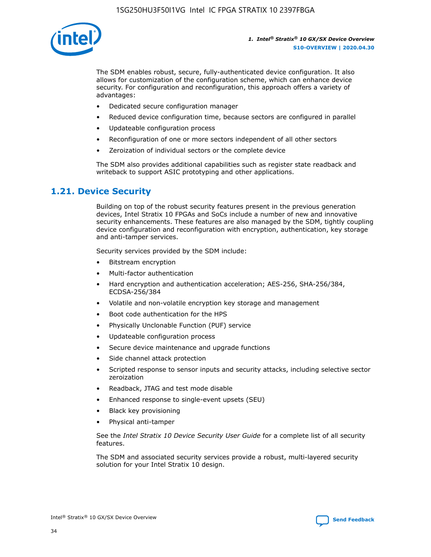

The SDM enables robust, secure, fully-authenticated device configuration. It also allows for customization of the configuration scheme, which can enhance device security. For configuration and reconfiguration, this approach offers a variety of advantages:

- Dedicated secure configuration manager
- Reduced device configuration time, because sectors are configured in parallel
- Updateable configuration process
- Reconfiguration of one or more sectors independent of all other sectors
- Zeroization of individual sectors or the complete device

The SDM also provides additional capabilities such as register state readback and writeback to support ASIC prototyping and other applications.

## **1.21. Device Security**

Building on top of the robust security features present in the previous generation devices, Intel Stratix 10 FPGAs and SoCs include a number of new and innovative security enhancements. These features are also managed by the SDM, tightly coupling device configuration and reconfiguration with encryption, authentication, key storage and anti-tamper services.

Security services provided by the SDM include:

- Bitstream encryption
- Multi-factor authentication
- Hard encryption and authentication acceleration; AES-256, SHA-256/384, ECDSA-256/384
- Volatile and non-volatile encryption key storage and management
- Boot code authentication for the HPS
- Physically Unclonable Function (PUF) service
- Updateable configuration process
- Secure device maintenance and upgrade functions
- Side channel attack protection
- Scripted response to sensor inputs and security attacks, including selective sector zeroization
- Readback, JTAG and test mode disable
- Enhanced response to single-event upsets (SEU)
- Black key provisioning
- Physical anti-tamper

See the *Intel Stratix 10 Device Security User Guide* for a complete list of all security features.

The SDM and associated security services provide a robust, multi-layered security solution for your Intel Stratix 10 design.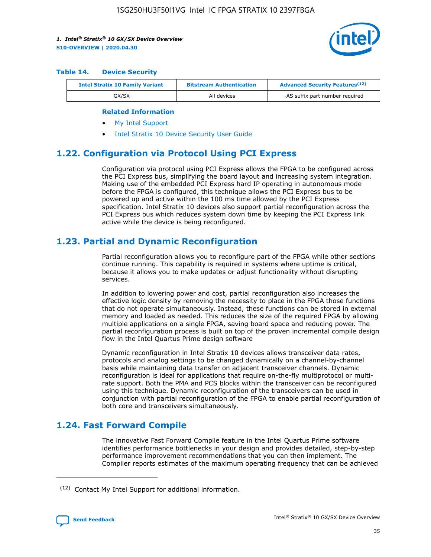

#### **Table 14. Device Security**

| <b>Intel Stratix 10 Family Variant</b> | <b>Bitstream Authentication</b> | <b>Advanced Security Features</b> <sup>(12)</sup> |  |
|----------------------------------------|---------------------------------|---------------------------------------------------|--|
| GX/SX                                  | All devices                     | -AS suffix part number required                   |  |

#### **Related Information**

- [My Intel Support](https://www.intel.com/content/www/us/en/programmable/my-intel/mal-home.html)
- [Intel Stratix 10 Device Security User Guide](https://www.intel.com/content/www/us/en/programmable/documentation/ndq1483601370898.html#wcd1483611014402)

## **1.22. Configuration via Protocol Using PCI Express**

Configuration via protocol using PCI Express allows the FPGA to be configured across the PCI Express bus, simplifying the board layout and increasing system integration. Making use of the embedded PCI Express hard IP operating in autonomous mode before the FPGA is configured, this technique allows the PCI Express bus to be powered up and active within the 100 ms time allowed by the PCI Express specification. Intel Stratix 10 devices also support partial reconfiguration across the PCI Express bus which reduces system down time by keeping the PCI Express link active while the device is being reconfigured.

## **1.23. Partial and Dynamic Reconfiguration**

Partial reconfiguration allows you to reconfigure part of the FPGA while other sections continue running. This capability is required in systems where uptime is critical, because it allows you to make updates or adjust functionality without disrupting services.

In addition to lowering power and cost, partial reconfiguration also increases the effective logic density by removing the necessity to place in the FPGA those functions that do not operate simultaneously. Instead, these functions can be stored in external memory and loaded as needed. This reduces the size of the required FPGA by allowing multiple applications on a single FPGA, saving board space and reducing power. The partial reconfiguration process is built on top of the proven incremental compile design flow in the Intel Quartus Prime design software

Dynamic reconfiguration in Intel Stratix 10 devices allows transceiver data rates, protocols and analog settings to be changed dynamically on a channel-by-channel basis while maintaining data transfer on adjacent transceiver channels. Dynamic reconfiguration is ideal for applications that require on-the-fly multiprotocol or multirate support. Both the PMA and PCS blocks within the transceiver can be reconfigured using this technique. Dynamic reconfiguration of the transceivers can be used in conjunction with partial reconfiguration of the FPGA to enable partial reconfiguration of both core and transceivers simultaneously.

## **1.24. Fast Forward Compile**

The innovative Fast Forward Compile feature in the Intel Quartus Prime software identifies performance bottlenecks in your design and provides detailed, step-by-step performance improvement recommendations that you can then implement. The Compiler reports estimates of the maximum operating frequency that can be achieved

<sup>(12)</sup> Contact My Intel Support for additional information.

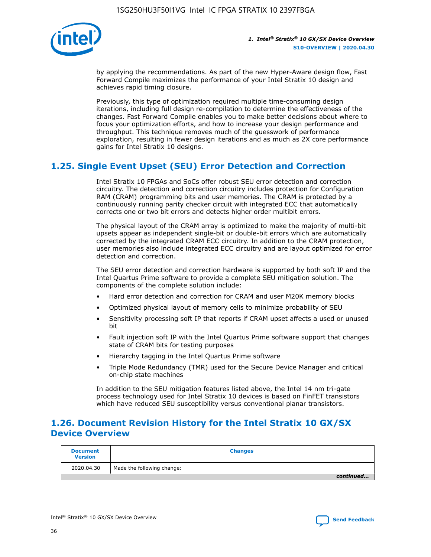

by applying the recommendations. As part of the new Hyper-Aware design flow, Fast Forward Compile maximizes the performance of your Intel Stratix 10 design and achieves rapid timing closure.

Previously, this type of optimization required multiple time-consuming design iterations, including full design re-compilation to determine the effectiveness of the changes. Fast Forward Compile enables you to make better decisions about where to focus your optimization efforts, and how to increase your design performance and throughput. This technique removes much of the guesswork of performance exploration, resulting in fewer design iterations and as much as 2X core performance gains for Intel Stratix 10 designs.

## **1.25. Single Event Upset (SEU) Error Detection and Correction**

Intel Stratix 10 FPGAs and SoCs offer robust SEU error detection and correction circuitry. The detection and correction circuitry includes protection for Configuration RAM (CRAM) programming bits and user memories. The CRAM is protected by a continuously running parity checker circuit with integrated ECC that automatically corrects one or two bit errors and detects higher order multibit errors.

The physical layout of the CRAM array is optimized to make the majority of multi-bit upsets appear as independent single-bit or double-bit errors which are automatically corrected by the integrated CRAM ECC circuitry. In addition to the CRAM protection, user memories also include integrated ECC circuitry and are layout optimized for error detection and correction.

The SEU error detection and correction hardware is supported by both soft IP and the Intel Quartus Prime software to provide a complete SEU mitigation solution. The components of the complete solution include:

- Hard error detection and correction for CRAM and user M20K memory blocks
- Optimized physical layout of memory cells to minimize probability of SEU
- Sensitivity processing soft IP that reports if CRAM upset affects a used or unused bit
- Fault injection soft IP with the Intel Quartus Prime software support that changes state of CRAM bits for testing purposes
- Hierarchy tagging in the Intel Quartus Prime software
- Triple Mode Redundancy (TMR) used for the Secure Device Manager and critical on-chip state machines

In addition to the SEU mitigation features listed above, the Intel 14 nm tri-gate process technology used for Intel Stratix 10 devices is based on FinFET transistors which have reduced SEU susceptibility versus conventional planar transistors.

## **1.26. Document Revision History for the Intel Stratix 10 GX/SX Device Overview**

| <b>Document</b><br><b>Version</b> | <b>Changes</b>             |
|-----------------------------------|----------------------------|
| 2020.04.30                        | Made the following change: |
|                                   | continued                  |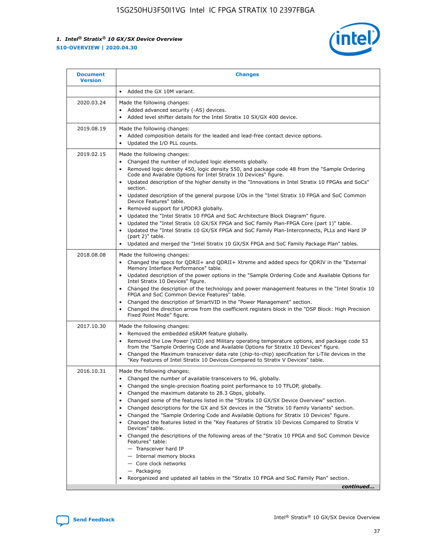

| <b>Document</b><br><b>Version</b> | <b>Changes</b>                                                                                                                                                                                                                                                                                                                                                                                                                                                                                                                                                                                                                                                                                                                                                                                                                                                                                                                                                                                              |
|-----------------------------------|-------------------------------------------------------------------------------------------------------------------------------------------------------------------------------------------------------------------------------------------------------------------------------------------------------------------------------------------------------------------------------------------------------------------------------------------------------------------------------------------------------------------------------------------------------------------------------------------------------------------------------------------------------------------------------------------------------------------------------------------------------------------------------------------------------------------------------------------------------------------------------------------------------------------------------------------------------------------------------------------------------------|
|                                   | Added the GX 10M variant.                                                                                                                                                                                                                                                                                                                                                                                                                                                                                                                                                                                                                                                                                                                                                                                                                                                                                                                                                                                   |
| 2020.03.24                        | Made the following changes:<br>Added advanced security (-AS) devices.<br>Added level shifter details for the Intel Stratix 10 SX/GX 400 device.                                                                                                                                                                                                                                                                                                                                                                                                                                                                                                                                                                                                                                                                                                                                                                                                                                                             |
| 2019.08.19                        | Made the following changes:<br>Added composition details for the leaded and lead-free contact device options.<br>$\bullet$<br>Updated the I/O PLL counts.                                                                                                                                                                                                                                                                                                                                                                                                                                                                                                                                                                                                                                                                                                                                                                                                                                                   |
| 2019.02.15                        | Made the following changes:<br>Changed the number of included logic elements globally.<br>$\bullet$<br>Removed logic density 450, logic density 550, and package code 48 from the "Sample Ordering<br>$\bullet$<br>Code and Available Options for Intel Stratix 10 Devices" figure.<br>Updated description of the higher density in the "Innovations in Intel Stratix 10 FPGAs and SoCs"<br>section.<br>Updated description of the general purpose I/Os in the "Intel Stratix 10 FPGA and SoC Common<br>$\bullet$<br>Device Features" table.<br>Removed support for LPDDR3 globally.<br>Updated the "Intel Stratix 10 FPGA and SoC Architecture Block Diagram" figure.<br>$\bullet$<br>Updated the "Intel Stratix 10 GX/SX FPGA and SoC Family Plan-FPGA Core (part 1)" table.<br>$\bullet$<br>Updated the "Intel Stratix 10 GX/SX FPGA and SoC Family Plan-Interconnects, PLLs and Hard IP<br>(part 2)" table.<br>Updated and merged the "Intel Stratix 10 GX/SX FPGA and SoC Family Package Plan" tables. |
| 2018.08.08                        | Made the following changes:<br>Changed the specs for QDRII+ and QDRII+ Xtreme and added specs for QDRIV in the "External<br>$\bullet$<br>Memory Interface Performance" table.<br>Updated description of the power options in the "Sample Ordering Code and Available Options for<br>Intel Stratix 10 Devices" figure.<br>Changed the description of the technology and power management features in the "Intel Stratix 10<br>FPGA and SoC Common Device Features" table.<br>Changed the description of SmartVID in the "Power Management" section.<br>Changed the direction arrow from the coefficient registers block in the "DSP Block: High Precision<br>$\bullet$<br>Fixed Point Mode" figure.                                                                                                                                                                                                                                                                                                          |
| 2017.10.30                        | Made the following changes:<br>Removed the embedded eSRAM feature globally.<br>$\bullet$<br>Removed the Low Power (VID) and Military operating temperature options, and package code 53<br>$\bullet$<br>from the "Sample Ordering Code and Available Options for Stratix 10 Devices" figure.<br>Changed the Maximum transceiver data rate (chip-to-chip) specification for L-Tile devices in the<br>"Key Features of Intel Stratix 10 Devices Compared to Stratix V Devices" table.                                                                                                                                                                                                                                                                                                                                                                                                                                                                                                                         |
| 2016.10.31                        | Made the following changes:<br>• Changed the number of available transceivers to 96, globally.<br>Changed the single-precision floating point performance to 10 TFLOP, globally.<br>Changed the maximum datarate to 28.3 Gbps, globally.<br>٠<br>Changed some of the features listed in the "Stratix 10 GX/SX Device Overview" section.<br>$\bullet$<br>Changed descriptions for the GX and SX devices in the "Stratix 10 Family Variants" section.<br>$\bullet$<br>Changed the "Sample Ordering Code and Available Options for Stratix 10 Devices" figure.<br>Changed the features listed in the "Key Features of Stratix 10 Devices Compared to Stratix V<br>Devices" table.<br>Changed the descriptions of the following areas of the "Stratix 10 FPGA and SoC Common Device<br>Features" table:<br>- Transceiver hard IP<br>- Internal memory blocks<br>- Core clock networks<br>- Packaging<br>Reorganized and updated all tables in the "Stratix 10 FPGA and SoC Family Plan" section.                |
|                                   | continued                                                                                                                                                                                                                                                                                                                                                                                                                                                                                                                                                                                                                                                                                                                                                                                                                                                                                                                                                                                                   |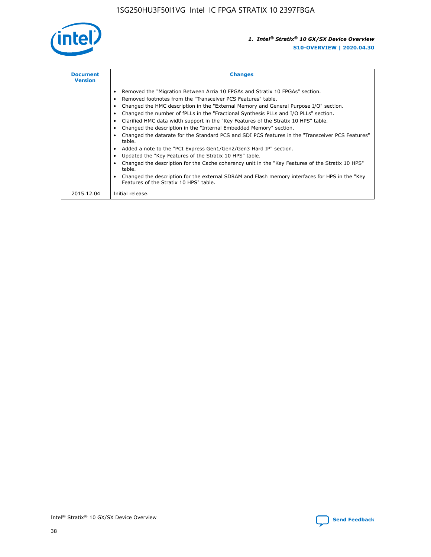

| <b>Document</b><br><b>Version</b> | <b>Changes</b>                                                                                                                                                                                                                                                                                                                                                                                                                                                                                                                                                                                                                                                                                                                                                                                                                                                                                                                                                                                     |
|-----------------------------------|----------------------------------------------------------------------------------------------------------------------------------------------------------------------------------------------------------------------------------------------------------------------------------------------------------------------------------------------------------------------------------------------------------------------------------------------------------------------------------------------------------------------------------------------------------------------------------------------------------------------------------------------------------------------------------------------------------------------------------------------------------------------------------------------------------------------------------------------------------------------------------------------------------------------------------------------------------------------------------------------------|
|                                   | Removed the "Migration Between Arria 10 FPGAs and Stratix 10 FPGAs" section.<br>Removed footnotes from the "Transceiver PCS Features" table.<br>Changed the HMC description in the "External Memory and General Purpose I/O" section.<br>Changed the number of fPLLs in the "Fractional Synthesis PLLs and I/O PLLs" section.<br>Clarified HMC data width support in the "Key Features of the Stratix 10 HPS" table.<br>Changed the description in the "Internal Embedded Memory" section.<br>Changed the datarate for the Standard PCS and SDI PCS features in the "Transceiver PCS Features"<br>table.<br>Added a note to the "PCI Express Gen1/Gen2/Gen3 Hard IP" section.<br>Updated the "Key Features of the Stratix 10 HPS" table.<br>Changed the description for the Cache coherency unit in the "Key Features of the Stratix 10 HPS"<br>table.<br>Changed the description for the external SDRAM and Flash memory interfaces for HPS in the "Key<br>Features of the Stratix 10 HPS" table. |
| 2015.12.04                        | Initial release.                                                                                                                                                                                                                                                                                                                                                                                                                                                                                                                                                                                                                                                                                                                                                                                                                                                                                                                                                                                   |